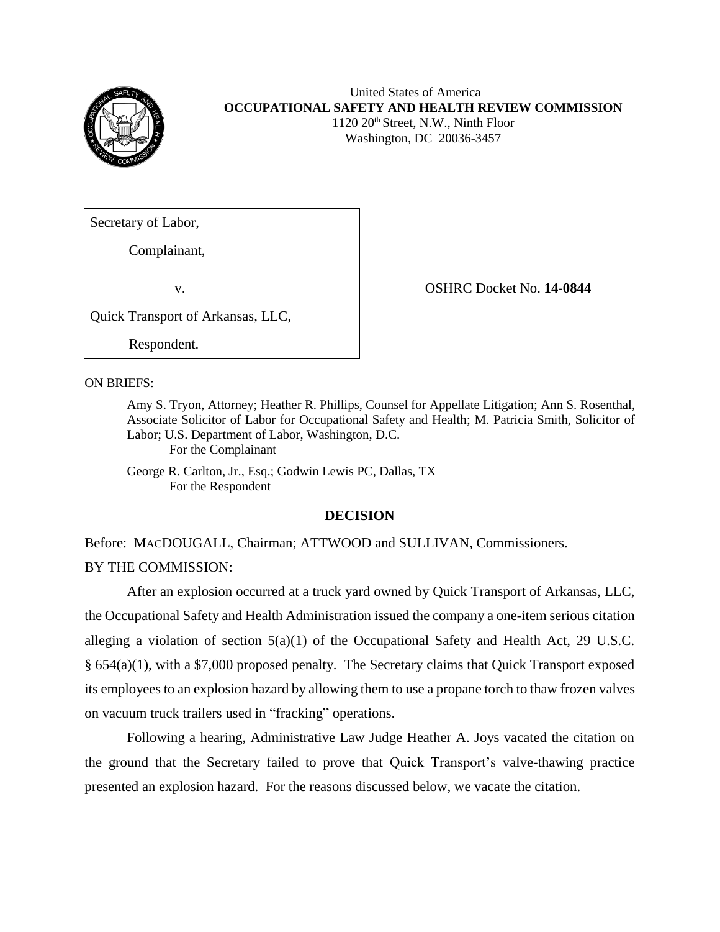

# United States of America **OCCUPATIONAL SAFETY AND HEALTH REVIEW COMMISSION** 1120 20<sup>th</sup> Street, N.W., Ninth Floor

Washington, DC 20036-3457

Secretary of Labor,

Complainant,

v. **Constant Constant Constant Constant Constant Constant Constant Constant Constant Constant Constant Constant Constant Constant Constant Constant Constant Constant Constant Constant Constant Constant Constant Constant Co** 

Quick Transport of Arkansas, LLC,

Respondent.

ON BRIEFS:

Amy S. Tryon, Attorney; Heather R. Phillips, Counsel for Appellate Litigation; Ann S. Rosenthal, Associate Solicitor of Labor for Occupational Safety and Health; M. Patricia Smith, Solicitor of Labor; U.S. Department of Labor, Washington, D.C.

For the Complainant

George R. Carlton, Jr., Esq.; Godwin Lewis PC, Dallas, TX For the Respondent

## **DECISION**

Before: MACDOUGALL, Chairman; ATTWOOD and SULLIVAN, Commissioners.

BY THE COMMISSION:

After an explosion occurred at a truck yard owned by Quick Transport of Arkansas, LLC, the Occupational Safety and Health Administration issued the company a one-item serious citation alleging a violation of section 5(a)(1) of the Occupational Safety and Health Act, 29 U.S.C. § 654(a)(1), with a \$7,000 proposed penalty. The Secretary claims that Quick Transport exposed its employees to an explosion hazard by allowing them to use a propane torch to thaw frozen valves on vacuum truck trailers used in "fracking" operations.

Following a hearing, Administrative Law Judge Heather A. Joys vacated the citation on the ground that the Secretary failed to prove that Quick Transport's valve-thawing practice presented an explosion hazard. For the reasons discussed below, we vacate the citation.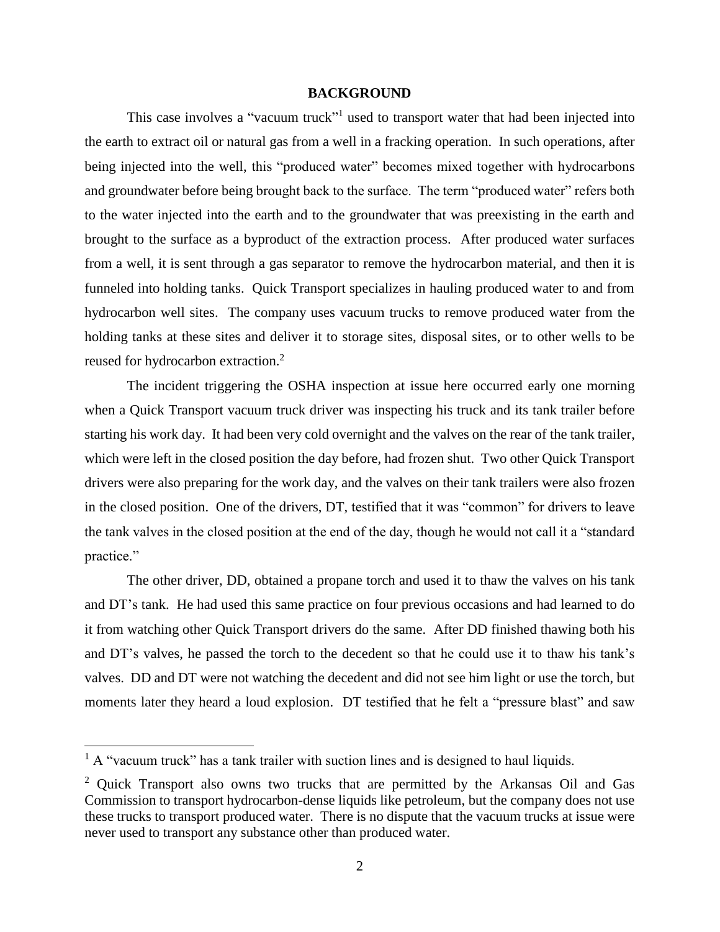### **BACKGROUND**

This case involves a "vacuum truck"<sup>1</sup> used to transport water that had been injected into the earth to extract oil or natural gas from a well in a fracking operation. In such operations, after being injected into the well, this "produced water" becomes mixed together with hydrocarbons and groundwater before being brought back to the surface. The term "produced water" refers both to the water injected into the earth and to the groundwater that was preexisting in the earth and brought to the surface as a byproduct of the extraction process. After produced water surfaces from a well, it is sent through a gas separator to remove the hydrocarbon material, and then it is funneled into holding tanks. Quick Transport specializes in hauling produced water to and from hydrocarbon well sites. The company uses vacuum trucks to remove produced water from the holding tanks at these sites and deliver it to storage sites, disposal sites, or to other wells to be reused for hydrocarbon extraction.<sup>2</sup>

The incident triggering the OSHA inspection at issue here occurred early one morning when a Quick Transport vacuum truck driver was inspecting his truck and its tank trailer before starting his work day. It had been very cold overnight and the valves on the rear of the tank trailer, which were left in the closed position the day before, had frozen shut. Two other Quick Transport drivers were also preparing for the work day, and the valves on their tank trailers were also frozen in the closed position. One of the drivers, DT, testified that it was "common" for drivers to leave the tank valves in the closed position at the end of the day, though he would not call it a "standard practice."

The other driver, DD, obtained a propane torch and used it to thaw the valves on his tank and DT's tank. He had used this same practice on four previous occasions and had learned to do it from watching other Quick Transport drivers do the same. After DD finished thawing both his and DT's valves, he passed the torch to the decedent so that he could use it to thaw his tank's valves. DD and DT were not watching the decedent and did not see him light or use the torch, but moments later they heard a loud explosion. DT testified that he felt a "pressure blast" and saw

 $<sup>1</sup>$  A "vacuum truck" has a tank trailer with suction lines and is designed to haul liquids.</sup>

<sup>&</sup>lt;sup>2</sup> Ouick Transport also owns two trucks that are permitted by the Arkansas Oil and Gas Commission to transport hydrocarbon-dense liquids like petroleum, but the company does not use these trucks to transport produced water. There is no dispute that the vacuum trucks at issue were never used to transport any substance other than produced water.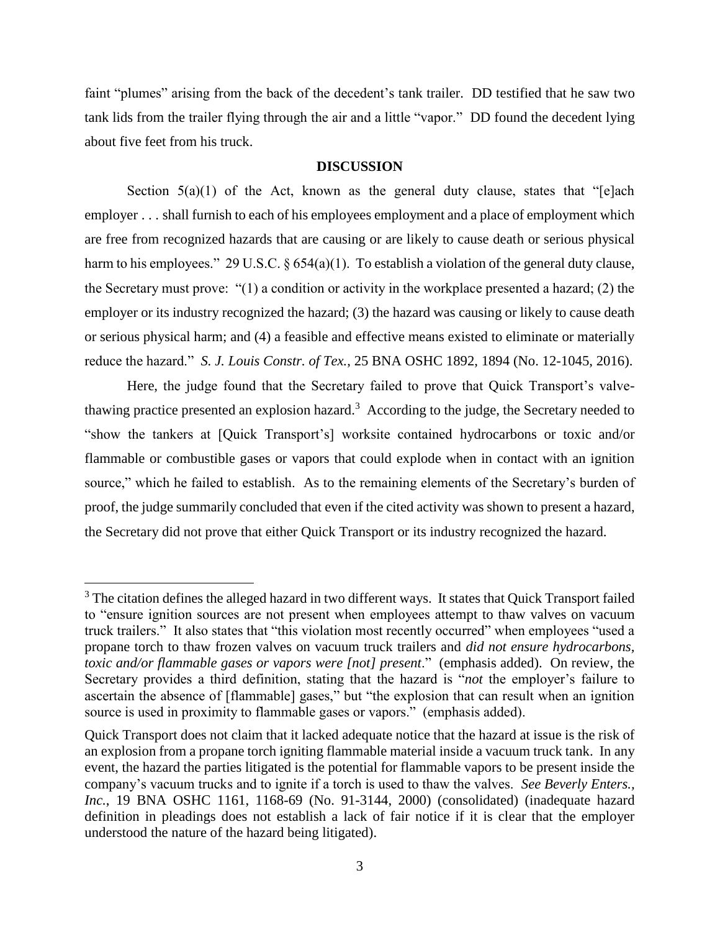faint "plumes" arising from the back of the decedent's tank trailer. DD testified that he saw two tank lids from the trailer flying through the air and a little "vapor." DD found the decedent lying about five feet from his truck.

### **DISCUSSION**

Section  $5(a)(1)$  of the Act, known as the general duty clause, states that "[e]ach employer . . . shall furnish to each of his employees employment and a place of employment which are free from recognized hazards that are causing or are likely to cause death or serious physical harm to his employees." 29 U.S.C. § 654(a)(1). To establish a violation of the general duty clause, the Secretary must prove: "(1) a condition or activity in the workplace presented a hazard; (2) the employer or its industry recognized the hazard; (3) the hazard was causing or likely to cause death or serious physical harm; and (4) a feasible and effective means existed to eliminate or materially reduce the hazard." *S. J. Louis Constr. of Tex.*, 25 BNA OSHC 1892, 1894 (No. 12-1045, 2016).

Here, the judge found that the Secretary failed to prove that Quick Transport's valvethawing practice presented an explosion hazard.<sup>3</sup> According to the judge, the Secretary needed to "show the tankers at [Quick Transport's] worksite contained hydrocarbons or toxic and/or flammable or combustible gases or vapors that could explode when in contact with an ignition source," which he failed to establish. As to the remaining elements of the Secretary's burden of proof, the judge summarily concluded that even if the cited activity was shown to present a hazard, the Secretary did not prove that either Quick Transport or its industry recognized the hazard.

<sup>&</sup>lt;sup>3</sup> The citation defines the alleged hazard in two different ways. It states that Quick Transport failed to "ensure ignition sources are not present when employees attempt to thaw valves on vacuum truck trailers." It also states that "this violation most recently occurred" when employees "used a propane torch to thaw frozen valves on vacuum truck trailers and *did not ensure hydrocarbons, toxic and/or flammable gases or vapors were [not] present*." (emphasis added). On review, the Secretary provides a third definition, stating that the hazard is "*not* the employer's failure to ascertain the absence of [flammable] gases," but "the explosion that can result when an ignition source is used in proximity to flammable gases or vapors." (emphasis added).

Quick Transport does not claim that it lacked adequate notice that the hazard at issue is the risk of an explosion from a propane torch igniting flammable material inside a vacuum truck tank. In any event, the hazard the parties litigated is the potential for flammable vapors to be present inside the company's vacuum trucks and to ignite if a torch is used to thaw the valves. *See Beverly Enters., Inc.*, 19 BNA OSHC 1161, 1168-69 (No. 91-3144, 2000) (consolidated) (inadequate hazard definition in pleadings does not establish a lack of fair notice if it is clear that the employer understood the nature of the hazard being litigated).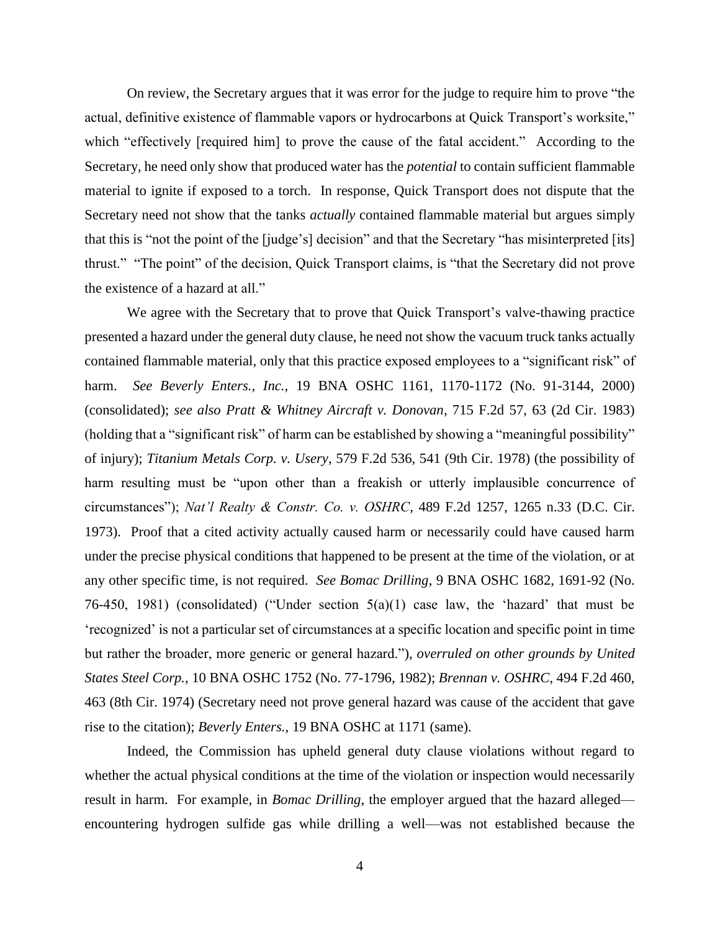On review, the Secretary argues that it was error for the judge to require him to prove "the actual, definitive existence of flammable vapors or hydrocarbons at Quick Transport's worksite," which "effectively [required him] to prove the cause of the fatal accident." According to the Secretary, he need only show that produced water has the *potential* to contain sufficient flammable material to ignite if exposed to a torch. In response, Quick Transport does not dispute that the Secretary need not show that the tanks *actually* contained flammable material but argues simply that this is "not the point of the [judge's] decision" and that the Secretary "has misinterpreted [its] thrust." "The point" of the decision, Quick Transport claims, is "that the Secretary did not prove the existence of a hazard at all."

We agree with the Secretary that to prove that Quick Transport's valve-thawing practice presented a hazard under the general duty clause, he need not show the vacuum truck tanks actually contained flammable material, only that this practice exposed employees to a "significant risk" of harm. *See Beverly Enters., Inc.*, 19 BNA OSHC 1161, 1170-1172 (No. 91-3144, 2000) (consolidated); *see also [Pratt & Whitney Aircraft v. Donovan](https://1.next.westlaw.com/Link/Document/FullText?findType=Y&serNum=1983139073&pubNum=350&originatingDoc=I33b44eeffa2c11d99439b076ef9ec4de&refType=RP&fi=co_pp_sp_350_63&originationContext=document&transitionType=DocumentItem&contextData=(sc.UserEnteredCitation)#co_pp_sp_350_63)*, 715 F.2d 57, 63 (2d Cir. 1983) (holding that a "significant risk" of harm can be established by showing a "meaningful possibility" of injury); *Titanium Metals Corp. v. Usery*[, 579 F.2d 536, 541 \(9th Cir. 1978\)](https://1.next.westlaw.com/Link/Document/FullText?findType=Y&serNum=1978119394&pubNum=350&originatingDoc=I33b44eeffa2c11d99439b076ef9ec4de&refType=RP&fi=co_pp_sp_350_541&originationContext=document&transitionType=DocumentItem&contextData=(sc.UserEnteredCitation)#co_pp_sp_350_541) (the possibility of harm resulting must be "upon other than a freakish or utterly implausible concurrence of circumstances"); *[Nat'l Realty & Constr. Co. v. OSHRC](https://1.next.westlaw.com/Link/Document/FullText?findType=Y&serNum=1973112769&pubNum=350&originatingDoc=I33b44eeffa2c11d99439b076ef9ec4de&refType=RP&fi=co_pp_sp_350_1265&originationContext=document&transitionType=DocumentItem&contextData=(sc.UserEnteredCitation)#co_pp_sp_350_1265)*, 489 F.2d 1257, 1265 n.33 (D.C. Cir. 1973). Proof that a cited activity actually caused harm or necessarily could have caused harm under the precise physical conditions that happened to be present at the time of the violation, or at any other specific time, is not required. *See Bomac Drilling*, 9 BNA OSHC 1682, 1691-92 (No. 76-450, 1981) (consolidated) ("Under section 5(a)(1) case law, the 'hazard' that must be 'recognized' is not a particular set of circumstances at a specific location and specific point in time but rather the broader, more generic or general hazard."), *overruled on other grounds by United States Steel Corp.*, 10 BNA OSHC 1752 (No. 77-1796, 1982); *Brennan v. OSHRC*, 494 F.2d 460, 463 (8th Cir. 1974) (Secretary need not prove general hazard was cause of the accident that gave rise to the citation); *Beverly Enters.*, 19 BNA OSHC at 1171 (same).

Indeed, the Commission has upheld general duty clause violations without regard to whether the actual physical conditions at the time of the violation or inspection would necessarily result in harm. For example, in *Bomac Drilling*, the employer argued that the hazard alleged encountering hydrogen sulfide gas while drilling a well—was not established because the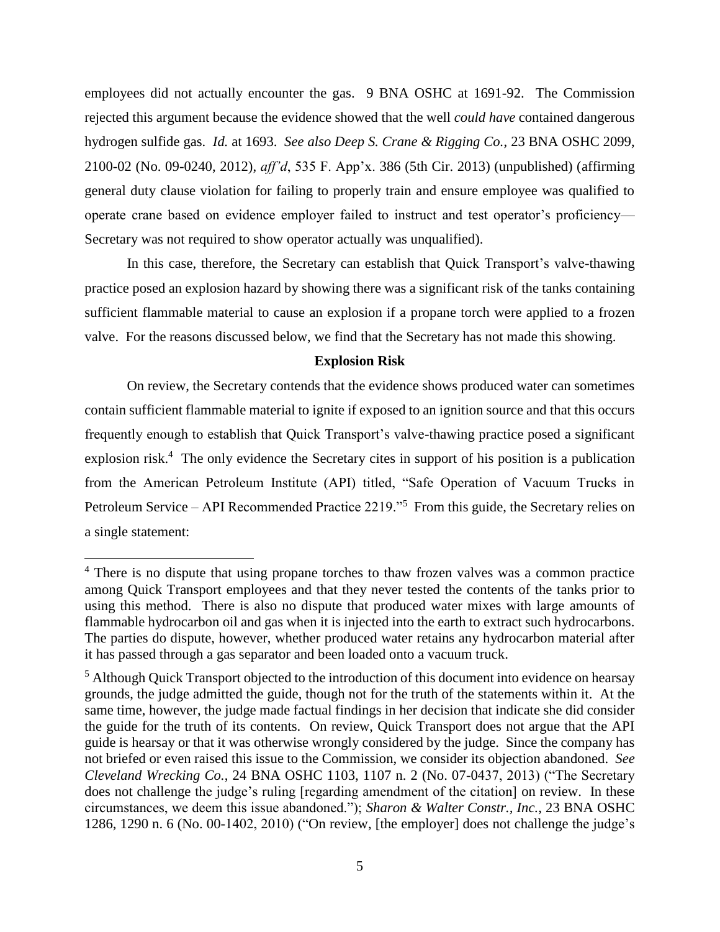employees did not actually encounter the gas. 9 BNA OSHC at 1691-92. The Commission rejected this argument because the evidence showed that the well *could have* contained dangerous hydrogen sulfide gas. *Id.* at 1693. *See also Deep S. Crane & Rigging Co.*, 23 BNA OSHC 2099, 2100-02 (No. 09-0240, 2012), *aff'd*, 535 F. App'x. 386 (5th Cir. 2013) (unpublished) (affirming general duty clause violation for failing to properly train and ensure employee was qualified to operate crane based on evidence employer failed to instruct and test operator's proficiency— Secretary was not required to show operator actually was unqualified).

In this case, therefore, the Secretary can establish that Quick Transport's valve-thawing practice posed an explosion hazard by showing there was a significant risk of the tanks containing sufficient flammable material to cause an explosion if a propane torch were applied to a frozen valve. For the reasons discussed below, we find that the Secretary has not made this showing.

#### **Explosion Risk**

On review, the Secretary contends that the evidence shows produced water can sometimes contain sufficient flammable material to ignite if exposed to an ignition source and that this occurs frequently enough to establish that Quick Transport's valve-thawing practice posed a significant explosion risk.<sup>4</sup> The only evidence the Secretary cites in support of his position is a publication from the American Petroleum Institute (API) titled, "Safe Operation of Vacuum Trucks in Petroleum Service – API Recommended Practice 2219."<sup>5</sup> From this guide, the Secretary relies on a single statement:

<sup>&</sup>lt;sup>4</sup> There is no dispute that using propane torches to thaw frozen valves was a common practice among Quick Transport employees and that they never tested the contents of the tanks prior to using this method. There is also no dispute that produced water mixes with large amounts of flammable hydrocarbon oil and gas when it is injected into the earth to extract such hydrocarbons. The parties do dispute, however, whether produced water retains any hydrocarbon material after it has passed through a gas separator and been loaded onto a vacuum truck.

<sup>&</sup>lt;sup>5</sup> Although Quick Transport objected to the introduction of this document into evidence on hearsay grounds, the judge admitted the guide, though not for the truth of the statements within it. At the same time, however, the judge made factual findings in her decision that indicate she did consider the guide for the truth of its contents. On review, Quick Transport does not argue that the API guide is hearsay or that it was otherwise wrongly considered by the judge. Since the company has not briefed or even raised this issue to the Commission, we consider its objection abandoned. *See Cleveland Wrecking Co.*, 24 BNA OSHC 1103, 1107 n. 2 (No. 07-0437, 2013) ("The Secretary does not challenge the judge's ruling [regarding amendment of the citation] on review. In these circumstances, we deem this issue abandoned."); *Sharon & Walter Constr., Inc.*, 23 BNA OSHC 1286, 1290 n. 6 (No. 00-1402, 2010) ("On review, [the employer] does not challenge the judge's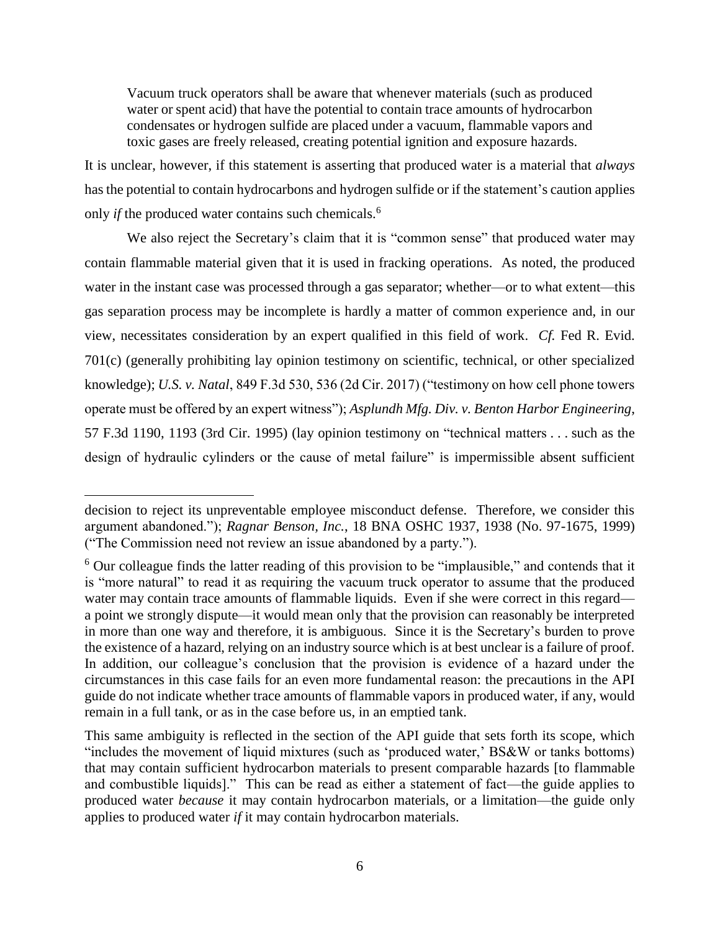Vacuum truck operators shall be aware that whenever materials (such as produced water or spent acid) that have the potential to contain trace amounts of hydrocarbon condensates or hydrogen sulfide are placed under a vacuum, flammable vapors and toxic gases are freely released, creating potential ignition and exposure hazards.

It is unclear, however, if this statement is asserting that produced water is a material that *always* has the potential to contain hydrocarbons and hydrogen sulfide or if the statement's caution applies only *if* the produced water contains such chemicals.<sup>6</sup>

We also reject the Secretary's claim that it is "common sense" that produced water may contain flammable material given that it is used in fracking operations. As noted, the produced water in the instant case was processed through a gas separator; whether—or to what extent—this gas separation process may be incomplete is hardly a matter of common experience and, in our view, necessitates consideration by an expert qualified in this field of work. *Cf.* Fed R. Evid. 701(c) (generally prohibiting lay opinion testimony on scientific, technical, or other specialized knowledge); *U.S. v. Natal*, 849 F.3d 530, 536 (2d Cir. 2017) ("testimony on how cell phone towers operate must be offered by an expert witness"); *Asplundh Mfg. Div. v. Benton Harbor Engineering*, 57 F.3d 1190, 1193 (3rd Cir. 1995) (lay opinion testimony on "technical matters . . . such as the design of hydraulic cylinders or the cause of metal failure" is impermissible absent sufficient

decision to reject its unpreventable employee misconduct defense. Therefore, we consider this argument abandoned."); *Ragnar Benson, Inc.*, 18 BNA OSHC 1937, 1938 (No. 97-1675, 1999) ("The Commission need not review an issue abandoned by a party.").

 $6$  Our colleague finds the latter reading of this provision to be "implausible," and contends that it is "more natural" to read it as requiring the vacuum truck operator to assume that the produced water may contain trace amounts of flammable liquids. Even if she were correct in this regard a point we strongly dispute—it would mean only that the provision can reasonably be interpreted in more than one way and therefore, it is ambiguous. Since it is the Secretary's burden to prove the existence of a hazard, relying on an industry source which is at best unclear is a failure of proof. In addition, our colleague's conclusion that the provision is evidence of a hazard under the circumstances in this case fails for an even more fundamental reason: the precautions in the API guide do not indicate whether trace amounts of flammable vapors in produced water, if any, would remain in a full tank, or as in the case before us, in an emptied tank.

This same ambiguity is reflected in the section of the API guide that sets forth its scope, which "includes the movement of liquid mixtures (such as 'produced water,' BS&W or tanks bottoms) that may contain sufficient hydrocarbon materials to present comparable hazards [to flammable and combustible liquids]." This can be read as either a statement of fact—the guide applies to produced water *because* it may contain hydrocarbon materials, or a limitation—the guide only applies to produced water *if* it may contain hydrocarbon materials.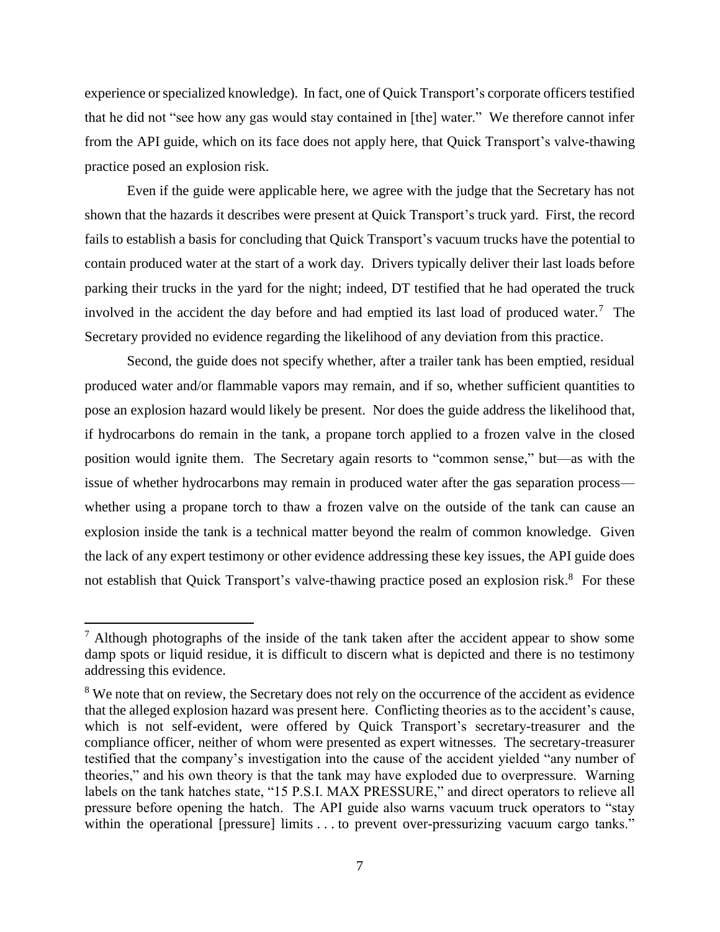experience or specialized knowledge). In fact, one of Quick Transport's corporate officers testified that he did not "see how any gas would stay contained in [the] water." We therefore cannot infer from the API guide, which on its face does not apply here, that Quick Transport's valve-thawing practice posed an explosion risk.

Even if the guide were applicable here, we agree with the judge that the Secretary has not shown that the hazards it describes were present at Quick Transport's truck yard. First, the record fails to establish a basis for concluding that Quick Transport's vacuum trucks have the potential to contain produced water at the start of a work day. Drivers typically deliver their last loads before parking their trucks in the yard for the night; indeed, DT testified that he had operated the truck involved in the accident the day before and had emptied its last load of produced water.<sup>7</sup> The Secretary provided no evidence regarding the likelihood of any deviation from this practice.

Second, the guide does not specify whether, after a trailer tank has been emptied, residual produced water and/or flammable vapors may remain, and if so, whether sufficient quantities to pose an explosion hazard would likely be present. Nor does the guide address the likelihood that, if hydrocarbons do remain in the tank, a propane torch applied to a frozen valve in the closed position would ignite them. The Secretary again resorts to "common sense," but—as with the issue of whether hydrocarbons may remain in produced water after the gas separation process whether using a propane torch to thaw a frozen valve on the outside of the tank can cause an explosion inside the tank is a technical matter beyond the realm of common knowledge. Given the lack of any expert testimony or other evidence addressing these key issues, the API guide does not establish that Quick Transport's valve-thawing practice posed an explosion risk.<sup>8</sup> For these

 $\overline{a}$ 

 $<sup>7</sup>$  Although photographs of the inside of the tank taken after the accident appear to show some</sup> damp spots or liquid residue, it is difficult to discern what is depicted and there is no testimony addressing this evidence.

<sup>&</sup>lt;sup>8</sup> We note that on review, the Secretary does not rely on the occurrence of the accident as evidence that the alleged explosion hazard was present here. Conflicting theories as to the accident's cause, which is not self-evident, were offered by Quick Transport's secretary-treasurer and the compliance officer, neither of whom were presented as expert witnesses. The secretary-treasurer testified that the company's investigation into the cause of the accident yielded "any number of theories," and his own theory is that the tank may have exploded due to overpressure. Warning labels on the tank hatches state, "15 P.S.I. MAX PRESSURE," and direct operators to relieve all pressure before opening the hatch. The API guide also warns vacuum truck operators to "stay within the operational [pressure] limits . . . to prevent over-pressurizing vacuum cargo tanks."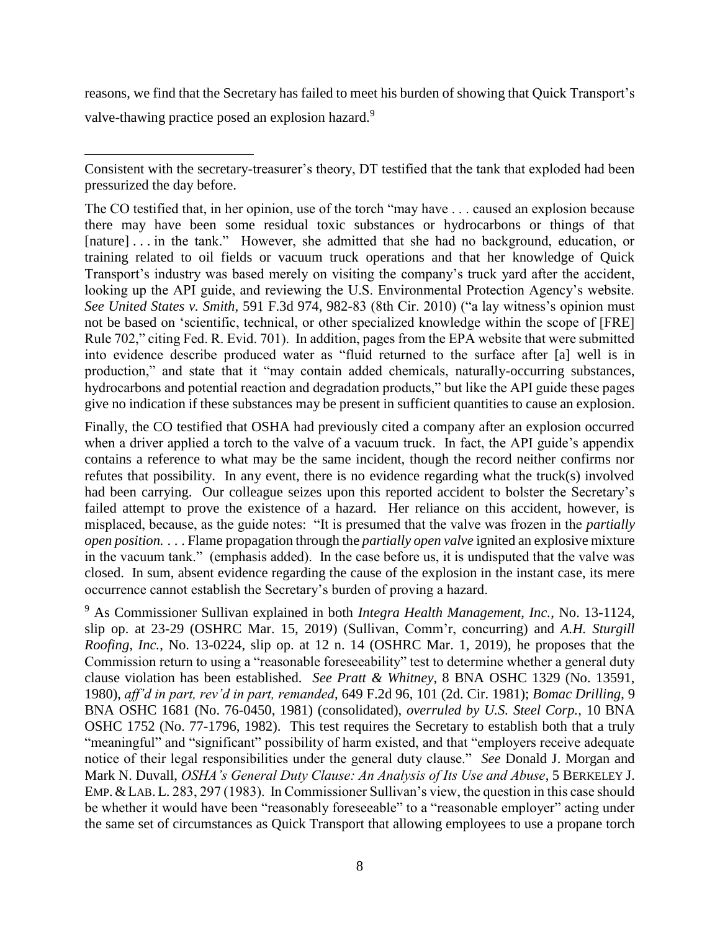reasons, we find that the Secretary has failed to meet his burden of showing that Quick Transport's valve-thawing practice posed an explosion hazard.<sup>9</sup>

 $\overline{\phantom{a}}$ 

The CO testified that, in her opinion, use of the torch "may have . . . caused an explosion because there may have been some residual toxic substances or hydrocarbons or things of that [nature] . . . in the tank." However, she admitted that she had no background, education, or training related to oil fields or vacuum truck operations and that her knowledge of Quick Transport's industry was based merely on visiting the company's truck yard after the accident, looking up the API guide, and reviewing the U.S. Environmental Protection Agency's website. *See United States v. Smith*, 591 F.3d 974, 982-83 (8th Cir. 2010) ("a lay witness's opinion must not be based on 'scientific, technical, or other specialized knowledge within the scope of [FRE] Rule 702," citing Fed. R. Evid. 701). In addition, pages from the EPA website that were submitted into evidence describe produced water as "fluid returned to the surface after [a] well is in production," and state that it "may contain added chemicals, naturally-occurring substances, hydrocarbons and potential reaction and degradation products," but like the API guide these pages give no indication if these substances may be present in sufficient quantities to cause an explosion.

Finally, the CO testified that OSHA had previously cited a company after an explosion occurred when a driver applied a torch to the valve of a vacuum truck. In fact, the API guide's appendix contains a reference to what may be the same incident, though the record neither confirms nor refutes that possibility. In any event, there is no evidence regarding what the truck(s) involved had been carrying. Our colleague seizes upon this reported accident to bolster the Secretary's failed attempt to prove the existence of a hazard. Her reliance on this accident, however, is misplaced, because, as the guide notes: "It is presumed that the valve was frozen in the *partially open position.* . . . Flame propagation through the *partially open valve* ignited an explosive mixture in the vacuum tank." (emphasis added). In the case before us, it is undisputed that the valve was closed. In sum, absent evidence regarding the cause of the explosion in the instant case, its mere occurrence cannot establish the Secretary's burden of proving a hazard.

<sup>9</sup> As Commissioner Sullivan explained in both *Integra Health Management, Inc.*, No. 13-1124, slip op. at 23-29 (OSHRC Mar. 15, 2019) (Sullivan, Comm'r, concurring) and *A.H. Sturgill Roofing, Inc.*, No. 13-0224, slip op. at 12 n. 14 (OSHRC Mar. 1, 2019), he proposes that the Commission return to using a "reasonable foreseeability" test to determine whether a general duty clause violation has been established. *See Pratt & Whitney*, 8 BNA OSHC 1329 (No. 13591, 1980), *aff'd in part, rev'd in part, remanded*, 649 F.2d 96, 101 (2d. Cir. 1981); *Bomac Drilling*, 9 BNA OSHC 1681 (No. 76-0450, 1981) (consolidated), *overruled by U.S. Steel Corp.,* 10 BNA OSHC 1752 (No. 77-1796, 1982). This test requires the Secretary to establish both that a truly "meaningful" and "significant" possibility of harm existed, and that "employers receive adequate notice of their legal responsibilities under the general duty clause." *See* Donald J. Morgan and Mark N. Duvall, *OSHA's General Duty Clause: An Analysis of Its Use and Abuse*, 5 BERKELEY J. EMP.&LAB. L. 283, 297 (1983). In Commissioner Sullivan's view, the question in this case should be whether it would have been "reasonably foreseeable" to a "reasonable employer" acting under the same set of circumstances as Quick Transport that allowing employees to use a propane torch

Consistent with the secretary-treasurer's theory, DT testified that the tank that exploded had been pressurized the day before.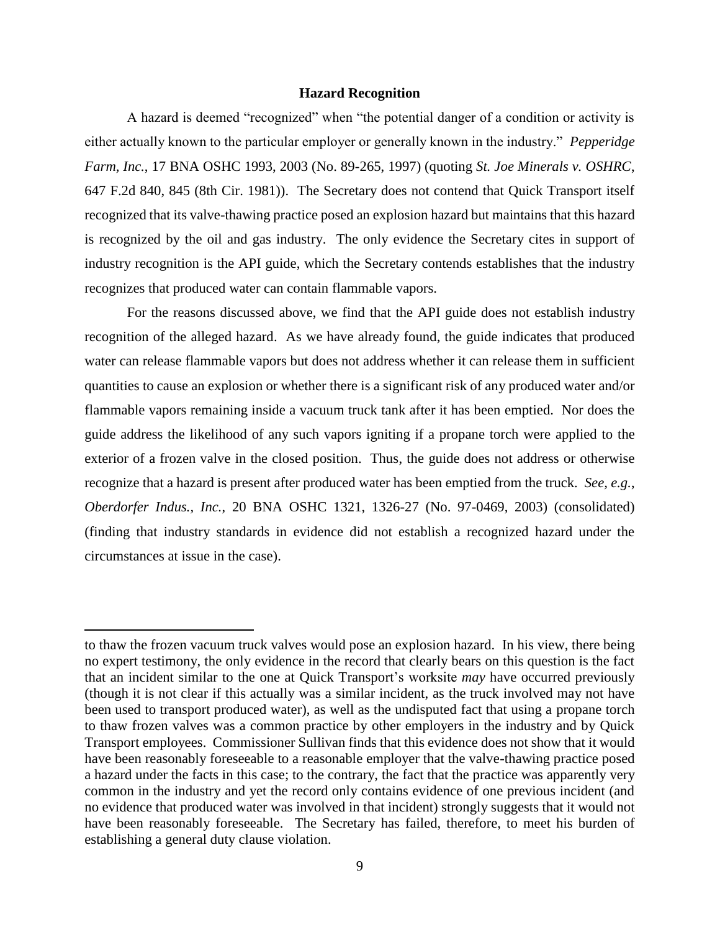## **Hazard Recognition**

A hazard is deemed "recognized" when "the potential danger of a condition or activity is either actually known to the particular employer or generally known in the industry." *Pepperidge Farm, Inc.*, 17 BNA OSHC 1993, 2003 (No. 89-265, 1997) (quoting *St. Joe Minerals v. OSHRC*, 647 F.2d 840, 845 (8th Cir. 1981)). The Secretary does not contend that Quick Transport itself recognized that its valve-thawing practice posed an explosion hazard but maintains that this hazard is recognized by the oil and gas industry. The only evidence the Secretary cites in support of industry recognition is the API guide, which the Secretary contends establishes that the industry recognizes that produced water can contain flammable vapors.

For the reasons discussed above, we find that the API guide does not establish industry recognition of the alleged hazard. As we have already found, the guide indicates that produced water can release flammable vapors but does not address whether it can release them in sufficient quantities to cause an explosion or whether there is a significant risk of any produced water and/or flammable vapors remaining inside a vacuum truck tank after it has been emptied. Nor does the guide address the likelihood of any such vapors igniting if a propane torch were applied to the exterior of a frozen valve in the closed position. Thus, the guide does not address or otherwise recognize that a hazard is present after produced water has been emptied from the truck. *See, e.g.*, *Oberdorfer Indus., Inc.*, 20 BNA OSHC 1321, 1326-27 (No. 97-0469, 2003) (consolidated) (finding that industry standards in evidence did not establish a recognized hazard under the circumstances at issue in the case).

 $\overline{a}$ 

to thaw the frozen vacuum truck valves would pose an explosion hazard. In his view, there being no expert testimony, the only evidence in the record that clearly bears on this question is the fact that an incident similar to the one at Quick Transport's worksite *may* have occurred previously (though it is not clear if this actually was a similar incident, as the truck involved may not have been used to transport produced water), as well as the undisputed fact that using a propane torch to thaw frozen valves was a common practice by other employers in the industry and by Quick Transport employees. Commissioner Sullivan finds that this evidence does not show that it would have been reasonably foreseeable to a reasonable employer that the valve-thawing practice posed a hazard under the facts in this case; to the contrary, the fact that the practice was apparently very common in the industry and yet the record only contains evidence of one previous incident (and no evidence that produced water was involved in that incident) strongly suggests that it would not have been reasonably foreseeable. The Secretary has failed, therefore, to meet his burden of establishing a general duty clause violation.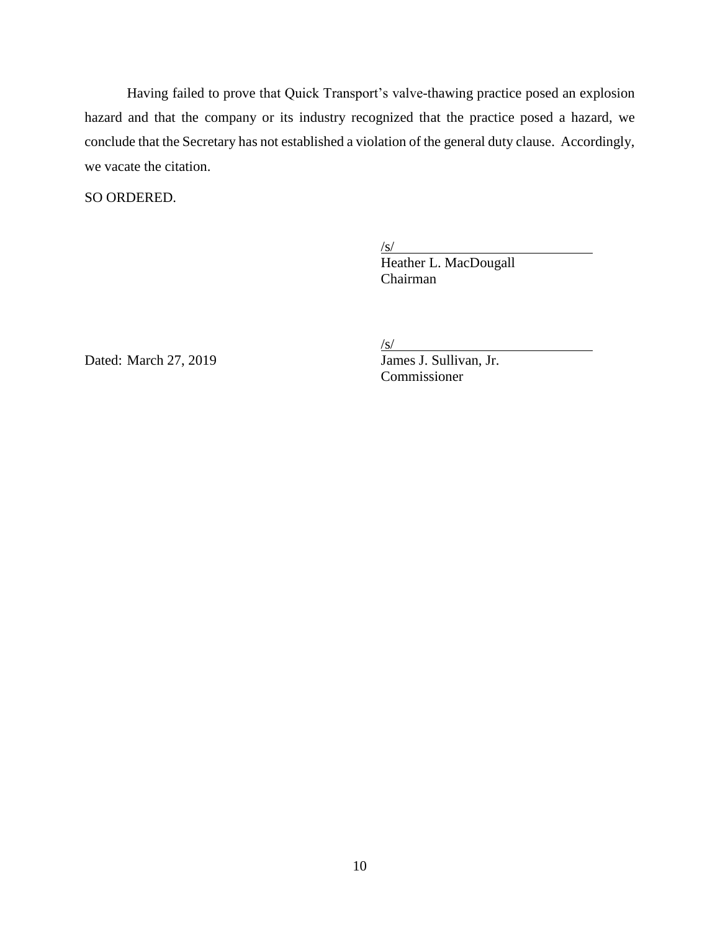Having failed to prove that Quick Transport's valve-thawing practice posed an explosion hazard and that the company or its industry recognized that the practice posed a hazard, we conclude that the Secretary has not established a violation of the general duty clause. Accordingly, we vacate the citation.

SO ORDERED.

 $\sqrt{s/2}$ 

Heather L. MacDougall Chairman

Dated: March 27, 2019

 $\frac{S}{\text{James J. Sullivan, Jr.}}$ Commissioner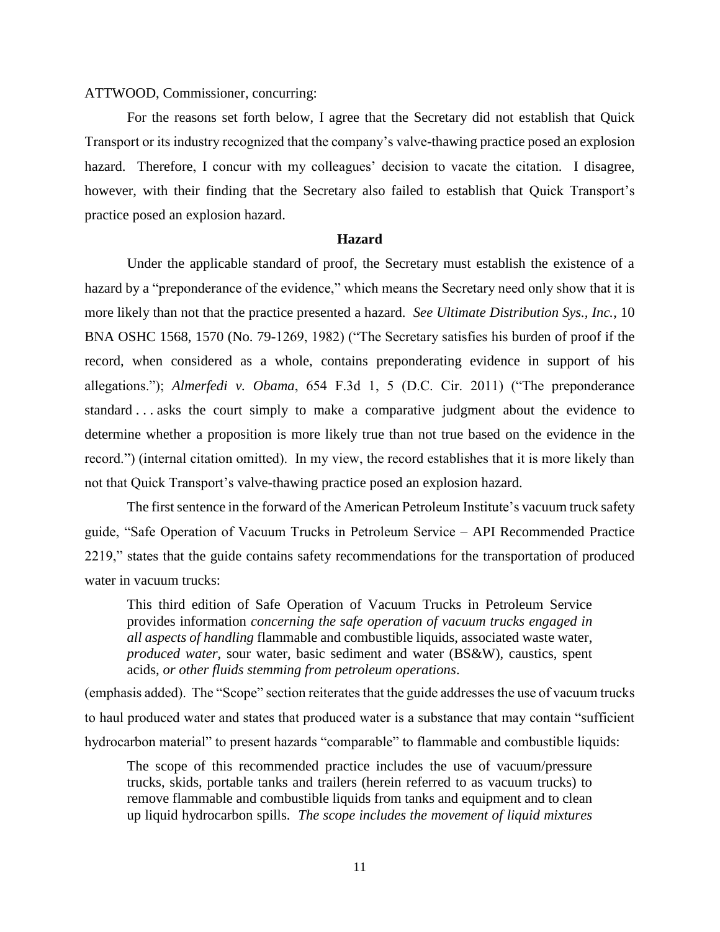## ATTWOOD, Commissioner, concurring:

For the reasons set forth below, I agree that the Secretary did not establish that Quick Transport or its industry recognized that the company's valve-thawing practice posed an explosion hazard. Therefore, I concur with my colleagues' decision to vacate the citation. I disagree, however, with their finding that the Secretary also failed to establish that Quick Transport's practice posed an explosion hazard.

### **Hazard**

Under the applicable standard of proof, the Secretary must establish the existence of a hazard by a "preponderance of the evidence," which means the Secretary need only show that it is more likely than not that the practice presented a hazard. *See Ultimate Distribution Sys., Inc.*, 10 BNA OSHC 1568, 1570 (No. 79-1269, 1982) ("The Secretary satisfies his burden of proof if the record, when considered as a whole, contains preponderating evidence in support of his allegations."); *Almerfedi v. Obama*, 654 F.3d 1, 5 (D.C. Cir. 2011) ("The preponderance standard . . . asks the court simply to make a comparative judgment about the evidence to determine whether a proposition is more likely true than not true based on the evidence in the record.") (internal citation omitted). In my view, the record establishes that it is more likely than not that Quick Transport's valve-thawing practice posed an explosion hazard.

The first sentence in the forward of the American Petroleum Institute's vacuum truck safety guide, "Safe Operation of Vacuum Trucks in Petroleum Service – API Recommended Practice 2219," states that the guide contains safety recommendations for the transportation of produced water in vacuum trucks:

This third edition of Safe Operation of Vacuum Trucks in Petroleum Service provides information *concerning the safe operation of vacuum trucks engaged in all aspects of handling* flammable and combustible liquids, associated waste water, *produced water*, sour water, basic sediment and water (BS&W), caustics, spent acids, *or other fluids stemming from petroleum operations*.

(emphasis added). The "Scope" section reiterates that the guide addresses the use of vacuum trucks to haul produced water and states that produced water is a substance that may contain "sufficient hydrocarbon material" to present hazards "comparable" to flammable and combustible liquids:

The scope of this recommended practice includes the use of vacuum/pressure trucks, skids, portable tanks and trailers (herein referred to as vacuum trucks) to remove flammable and combustible liquids from tanks and equipment and to clean up liquid hydrocarbon spills. *The scope includes the movement of liquid mixtures*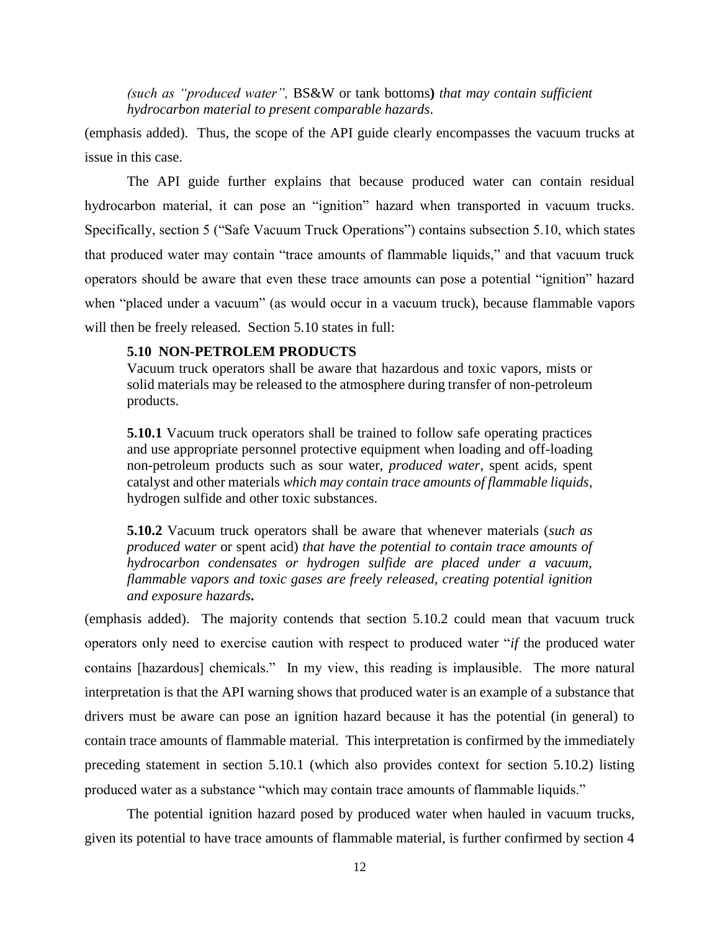*(such as "produced water",* BS&W or tank bottoms**)** *that may contain sufficient hydrocarbon material to present comparable hazards*.

(emphasis added). Thus, the scope of the API guide clearly encompasses the vacuum trucks at issue in this case.

The API guide further explains that because produced water can contain residual hydrocarbon material, it can pose an "ignition" hazard when transported in vacuum trucks. Specifically, section 5 ("Safe Vacuum Truck Operations") contains subsection 5.10, which states that produced water may contain "trace amounts of flammable liquids," and that vacuum truck operators should be aware that even these trace amounts can pose a potential "ignition" hazard when "placed under a vacuum" (as would occur in a vacuum truck), because flammable vapors will then be freely released. Section 5.10 states in full:

## **5.10 NON-PETROLEM PRODUCTS**

Vacuum truck operators shall be aware that hazardous and toxic vapors, mists or solid materials may be released to the atmosphere during transfer of non-petroleum products.

**5.10.1** Vacuum truck operators shall be trained to follow safe operating practices and use appropriate personnel protective equipment when loading and off-loading non-petroleum products such as sour water, *produced water*, spent acids, spent catalyst and other materials *which may contain trace amounts of flammable liquids*, hydrogen sulfide and other toxic substances.

**5.10.2** Vacuum truck operators shall be aware that whenever materials (*such as produced water* or spent acid) *that have the potential to contain trace amounts of hydrocarbon condensates or hydrogen sulfide are placed under a vacuum, flammable vapors and toxic gases are freely released, creating potential ignition and exposure hazards***.** 

(emphasis added). The majority contends that section 5.10.2 could mean that vacuum truck operators only need to exercise caution with respect to produced water "*if* the produced water contains [hazardous] chemicals." In my view, this reading is implausible. The more natural interpretation is that the API warning shows that produced water is an example of a substance that drivers must be aware can pose an ignition hazard because it has the potential (in general) to contain trace amounts of flammable material. This interpretation is confirmed by the immediately preceding statement in section 5.10.1 (which also provides context for section 5.10.2) listing produced water as a substance "which may contain trace amounts of flammable liquids."

The potential ignition hazard posed by produced water when hauled in vacuum trucks, given its potential to have trace amounts of flammable material, is further confirmed by section 4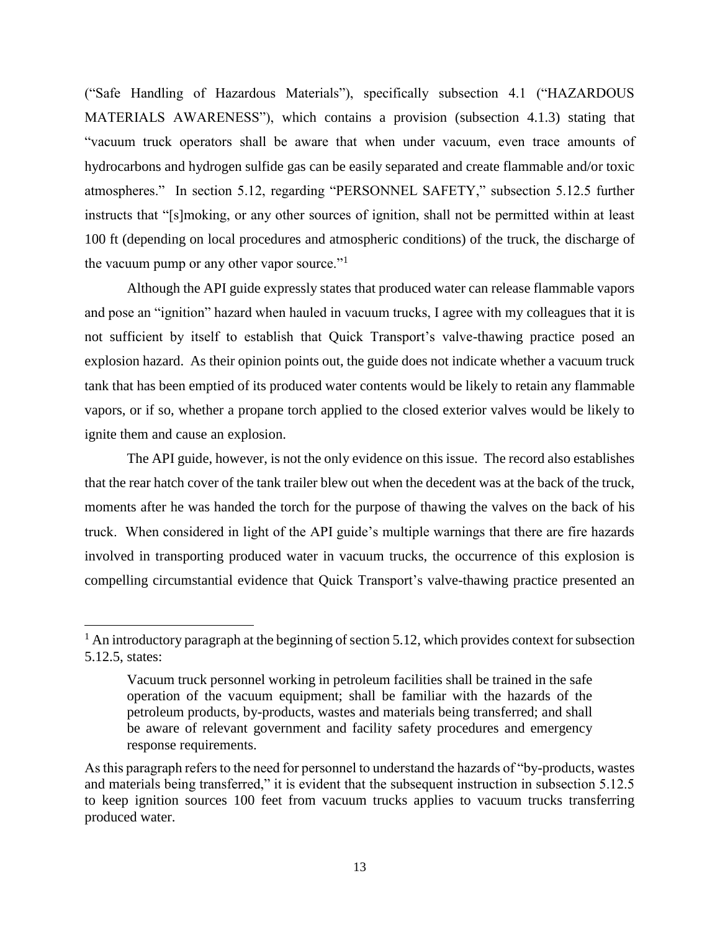("Safe Handling of Hazardous Materials"), specifically subsection 4.1 ("HAZARDOUS MATERIALS AWARENESS"), which contains a provision (subsection 4.1.3) stating that "vacuum truck operators shall be aware that when under vacuum, even trace amounts of hydrocarbons and hydrogen sulfide gas can be easily separated and create flammable and/or toxic atmospheres." In section 5.12, regarding "PERSONNEL SAFETY," subsection 5.12.5 further instructs that "[s]moking, or any other sources of ignition, shall not be permitted within at least 100 ft (depending on local procedures and atmospheric conditions) of the truck, the discharge of the vacuum pump or any other vapor source."<sup>1</sup>

Although the API guide expressly states that produced water can release flammable vapors and pose an "ignition" hazard when hauled in vacuum trucks, I agree with my colleagues that it is not sufficient by itself to establish that Quick Transport's valve-thawing practice posed an explosion hazard. As their opinion points out, the guide does not indicate whether a vacuum truck tank that has been emptied of its produced water contents would be likely to retain any flammable vapors, or if so, whether a propane torch applied to the closed exterior valves would be likely to ignite them and cause an explosion.

The API guide, however, is not the only evidence on this issue. The record also establishes that the rear hatch cover of the tank trailer blew out when the decedent was at the back of the truck, moments after he was handed the torch for the purpose of thawing the valves on the back of his truck. When considered in light of the API guide's multiple warnings that there are fire hazards involved in transporting produced water in vacuum trucks, the occurrence of this explosion is compelling circumstantial evidence that Quick Transport's valve-thawing practice presented an

 $<sup>1</sup>$  An introductory paragraph at the beginning of section 5.12, which provides context for subsection</sup> 5.12.5, states:

Vacuum truck personnel working in petroleum facilities shall be trained in the safe operation of the vacuum equipment; shall be familiar with the hazards of the petroleum products, by-products, wastes and materials being transferred; and shall be aware of relevant government and facility safety procedures and emergency response requirements.

As this paragraph refers to the need for personnel to understand the hazards of "by-products, wastes and materials being transferred," it is evident that the subsequent instruction in subsection 5.12.5 to keep ignition sources 100 feet from vacuum trucks applies to vacuum trucks transferring produced water.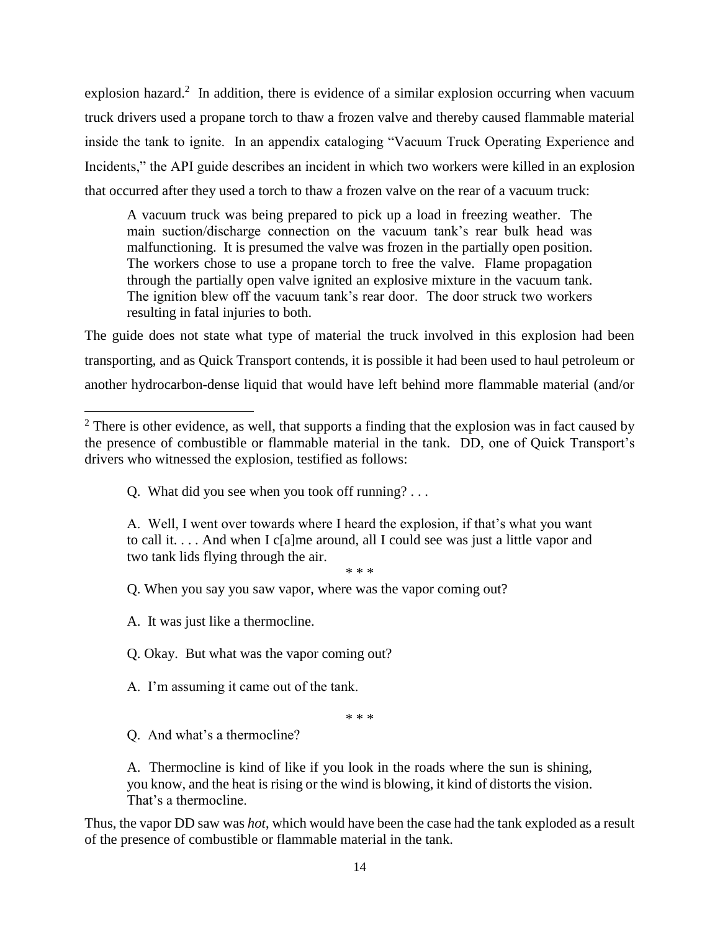explosion hazard.<sup>2</sup> In addition, there is evidence of a similar explosion occurring when vacuum truck drivers used a propane torch to thaw a frozen valve and thereby caused flammable material inside the tank to ignite. In an appendix cataloging "Vacuum Truck Operating Experience and Incidents," the API guide describes an incident in which two workers were killed in an explosion that occurred after they used a torch to thaw a frozen valve on the rear of a vacuum truck:

A vacuum truck was being prepared to pick up a load in freezing weather. The main suction/discharge connection on the vacuum tank's rear bulk head was malfunctioning. It is presumed the valve was frozen in the partially open position. The workers chose to use a propane torch to free the valve. Flame propagation through the partially open valve ignited an explosive mixture in the vacuum tank. The ignition blew off the vacuum tank's rear door. The door struck two workers resulting in fatal injuries to both.

The guide does not state what type of material the truck involved in this explosion had been transporting, and as Quick Transport contends, it is possible it had been used to haul petroleum or another hydrocarbon-dense liquid that would have left behind more flammable material (and/or

Q. What did you see when you took off running? . . .

A. Well, I went over towards where I heard the explosion, if that's what you want to call it. . . . And when I c[a]me around, all I could see was just a little vapor and two tank lids flying through the air.

\* \* \*

Q. When you say you saw vapor, where was the vapor coming out?

A. It was just like a thermocline.

 $\overline{\phantom{a}}$ 

Q. Okay. But what was the vapor coming out?

A. I'm assuming it came out of the tank.

\* \* \*

Q. And what's a thermocline?

A. Thermocline is kind of like if you look in the roads where the sun is shining, you know, and the heat is rising or the wind is blowing, it kind of distorts the vision. That's a thermocline.

Thus, the vapor DD saw was *hot*, which would have been the case had the tank exploded as a result of the presence of combustible or flammable material in the tank.

 $2$  There is other evidence, as well, that supports a finding that the explosion was in fact caused by the presence of combustible or flammable material in the tank. DD, one of Quick Transport's drivers who witnessed the explosion, testified as follows: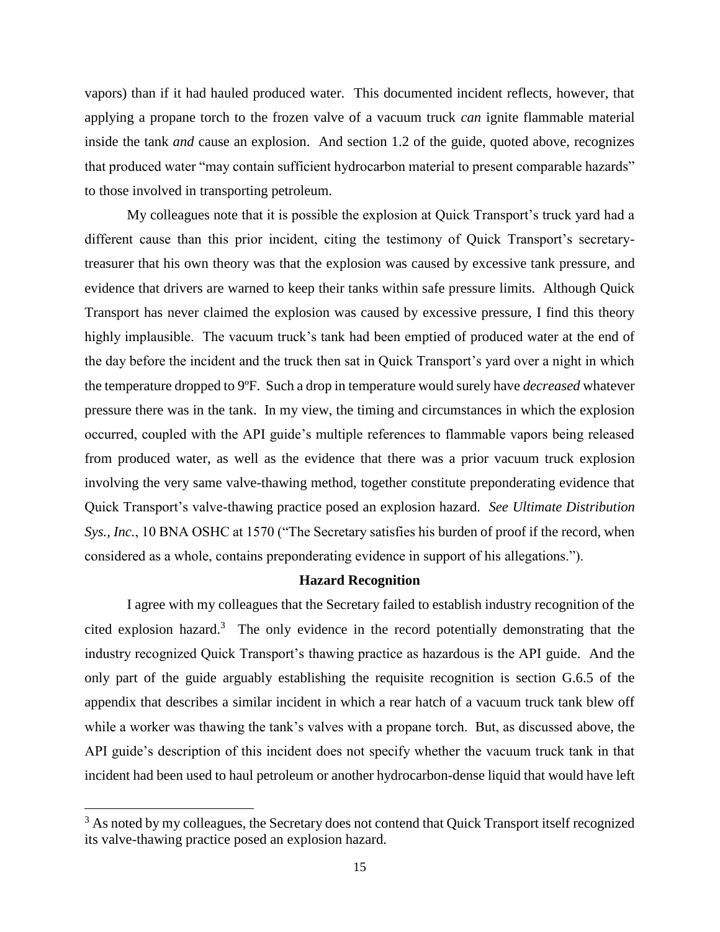vapors) than if it had hauled produced water. This documented incident reflects, however, that applying a propane torch to the frozen valve of a vacuum truck *can* ignite flammable material inside the tank *and* cause an explosion. And section 1.2 of the guide, quoted above, recognizes that produced water "may contain sufficient hydrocarbon material to present comparable hazards" to those involved in transporting petroleum.

My colleagues note that it is possible the explosion at Quick Transport's truck yard had a different cause than this prior incident, citing the testimony of Quick Transport's secretarytreasurer that his own theory was that the explosion was caused by excessive tank pressure, and evidence that drivers are warned to keep their tanks within safe pressure limits. Although Quick Transport has never claimed the explosion was caused by excessive pressure, I find this theory highly implausible. The vacuum truck's tank had been emptied of produced water at the end of the day before the incident and the truck then sat in Quick Transport's yard over a night in which the temperature dropped to 9ºF. Such a drop in temperature would surely have *decreased* whatever pressure there was in the tank. In my view, the timing and circumstances in which the explosion occurred, coupled with the API guide's multiple references to flammable vapors being released from produced water, as well as the evidence that there was a prior vacuum truck explosion involving the very same valve-thawing method, together constitute preponderating evidence that Quick Transport's valve-thawing practice posed an explosion hazard. *See Ultimate Distribution Sys., Inc.*, 10 BNA OSHC at 1570 ("The Secretary satisfies his burden of proof if the record, when considered as a whole, contains preponderating evidence in support of his allegations.").

## **Hazard Recognition**

I agree with my colleagues that the Secretary failed to establish industry recognition of the cited explosion hazard.<sup>3</sup> The only evidence in the record potentially demonstrating that the industry recognized Quick Transport's thawing practice as hazardous is the API guide. And the only part of the guide arguably establishing the requisite recognition is section G.6.5 of the appendix that describes a similar incident in which a rear hatch of a vacuum truck tank blew off while a worker was thawing the tank's valves with a propane torch. But, as discussed above, the API guide's description of this incident does not specify whether the vacuum truck tank in that incident had been used to haul petroleum or another hydrocarbon-dense liquid that would have left

 $\overline{a}$ 

<sup>&</sup>lt;sup>3</sup> As noted by my colleagues, the Secretary does not contend that Quick Transport itself recognized its valve-thawing practice posed an explosion hazard.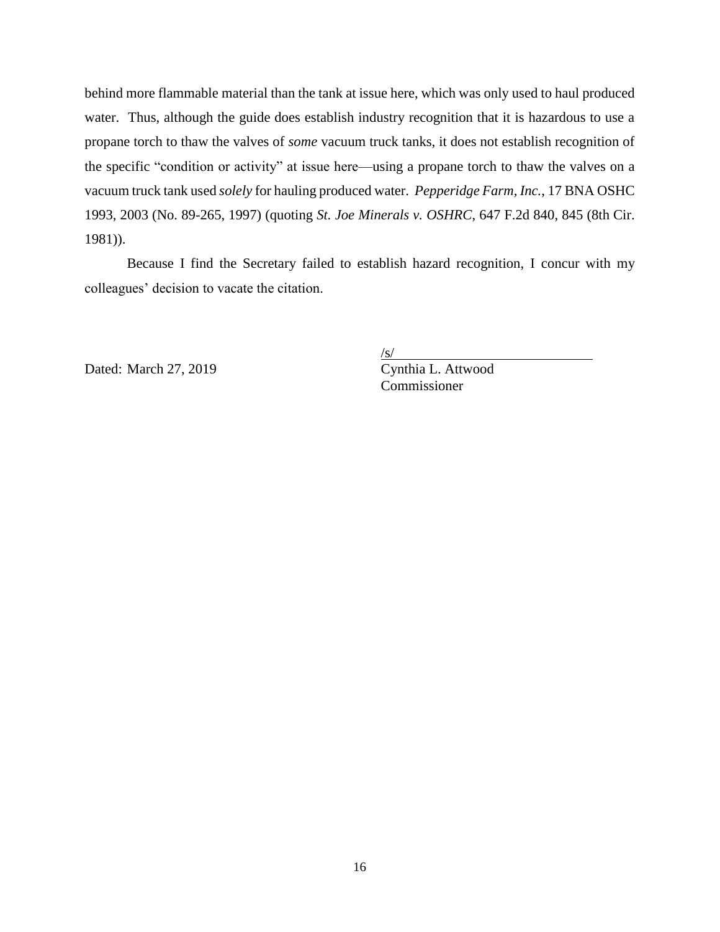behind more flammable material than the tank at issue here, which was only used to haul produced water. Thus, although the guide does establish industry recognition that it is hazardous to use a propane torch to thaw the valves of *some* vacuum truck tanks, it does not establish recognition of the specific "condition or activity" at issue here—using a propane torch to thaw the valves on a vacuum truck tank used *solely* for hauling produced water. *Pepperidge Farm, Inc.*, 17 BNA OSHC 1993, 2003 (No. 89-265, 1997) (quoting *St. Joe Minerals v. OSHRC*, 647 F.2d 840, 845 (8th Cir. 1981)).

Because I find the Secretary failed to establish hazard recognition, I concur with my colleagues' decision to vacate the citation.

Dated: March 27, 2019 Cynthia L. Attwood

 $\sqrt{s/}$ 

Commissioner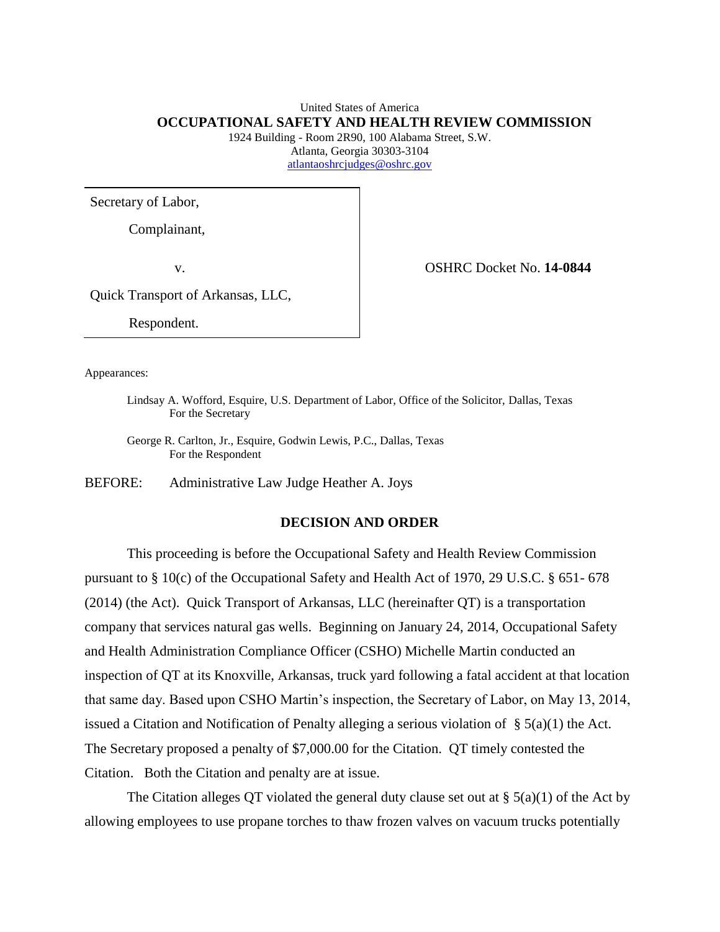# United States of America **OCCUPATIONAL SAFETY AND HEALTH REVIEW COMMISSION**

1924 Building - Room 2R90, 100 Alabama Street, S.W. Atlanta, Georgia 30303-3104 [atlantaoshrcjudges@oshrc.gov](mailto:atlantaoshrcjudges@oshrc.gov)

Secretary of Labor,

Complainant,

v. OSHRC Docket No. **14-0844**

Quick Transport of Arkansas, LLC,

Respondent.

Appearances:

Lindsay A. Wofford, Esquire, U.S. Department of Labor, Office of the Solicitor, Dallas, Texas For the Secretary

George R. Carlton, Jr., Esquire, Godwin Lewis, P.C., Dallas, Texas For the Respondent

BEFORE: Administrative Law Judge Heather A. Joys

## **DECISION AND ORDER**

This proceeding is before the Occupational Safety and Health Review Commission pursuant to § 10(c) of the Occupational Safety and Health Act of 1970, 29 U.S.C. § 651- 678 (2014) (the Act). Quick Transport of Arkansas, LLC (hereinafter QT) is a transportation company that services natural gas wells. Beginning on January 24, 2014, Occupational Safety and Health Administration Compliance Officer (CSHO) Michelle Martin conducted an inspection of QT at its Knoxville, Arkansas, truck yard following a fatal accident at that location that same day. Based upon CSHO Martin's inspection, the Secretary of Labor, on May 13, 2014, issued a Citation and Notification of Penalty alleging a serious violation of § 5(a)(1) the Act. The Secretary proposed a penalty of \$7,000.00 for the Citation. QT timely contested the Citation. Both the Citation and penalty are at issue.

The Citation alleges QT violated the general duty clause set out at  $\S$  5(a)(1) of the Act by allowing employees to use propane torches to thaw frozen valves on vacuum trucks potentially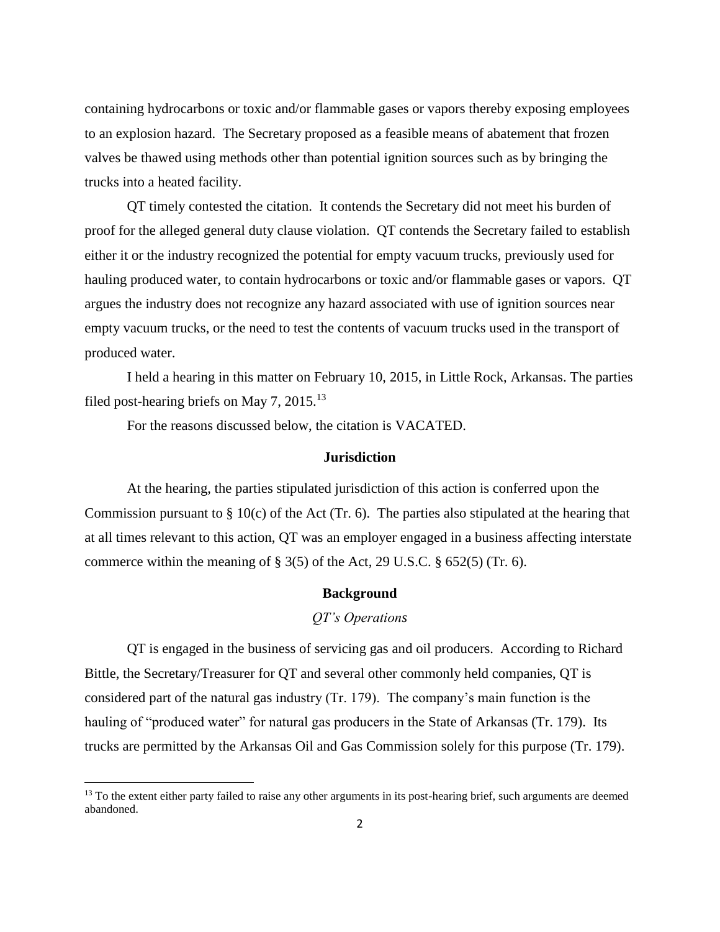containing hydrocarbons or toxic and/or flammable gases or vapors thereby exposing employees to an explosion hazard. The Secretary proposed as a feasible means of abatement that frozen valves be thawed using methods other than potential ignition sources such as by bringing the trucks into a heated facility.

QT timely contested the citation. It contends the Secretary did not meet his burden of proof for the alleged general duty clause violation. QT contends the Secretary failed to establish either it or the industry recognized the potential for empty vacuum trucks, previously used for hauling produced water, to contain hydrocarbons or toxic and/or flammable gases or vapors. QT argues the industry does not recognize any hazard associated with use of ignition sources near empty vacuum trucks, or the need to test the contents of vacuum trucks used in the transport of produced water.

I held a hearing in this matter on February 10, 2015, in Little Rock, Arkansas. The parties filed post-hearing briefs on May 7,  $2015$ <sup>13</sup>

For the reasons discussed below, the citation is VACATED.

#### **Jurisdiction**

At the hearing, the parties stipulated jurisdiction of this action is conferred upon the Commission pursuant to  $\S 10(c)$  of the Act (Tr. 6). The parties also stipulated at the hearing that at all times relevant to this action, QT was an employer engaged in a business affecting interstate commerce within the meaning of  $\S 3(5)$  of the Act, 29 U.S.C.  $\S 652(5)$  (Tr. 6).

#### **Background**

# *QT's Operations*

QT is engaged in the business of servicing gas and oil producers. According to Richard Bittle, the Secretary/Treasurer for QT and several other commonly held companies, QT is considered part of the natural gas industry (Tr. 179). The company's main function is the hauling of "produced water" for natural gas producers in the State of Arkansas (Tr. 179). Its trucks are permitted by the Arkansas Oil and Gas Commission solely for this purpose (Tr. 179).

<sup>&</sup>lt;sup>13</sup> To the extent either party failed to raise any other arguments in its post-hearing brief, such arguments are deemed abandoned.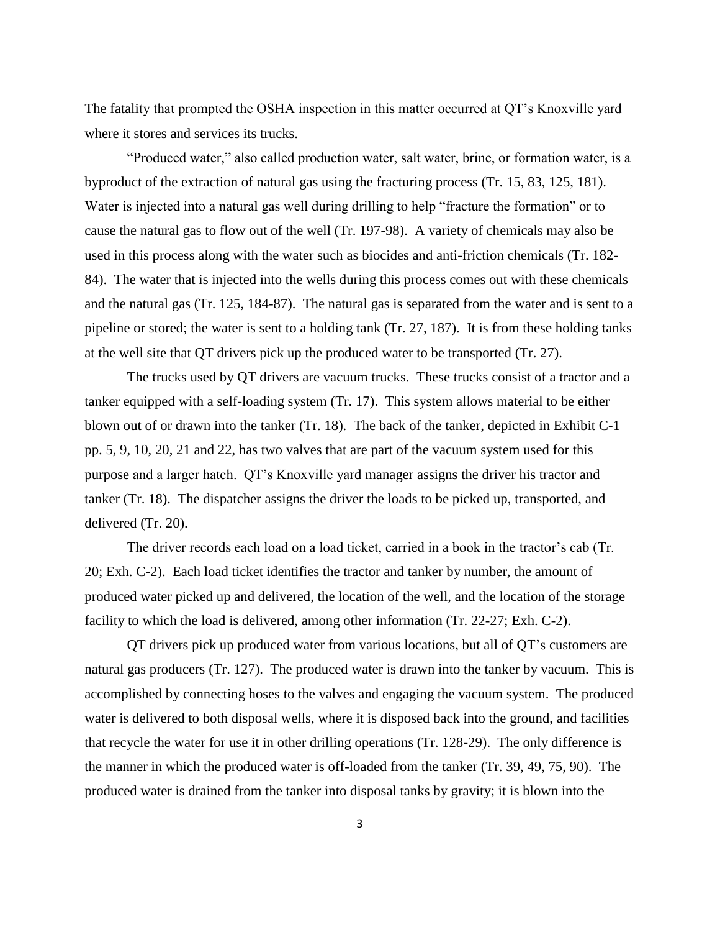The fatality that prompted the OSHA inspection in this matter occurred at QT's Knoxville yard where it stores and services its trucks.

"Produced water," also called production water, salt water, brine, or formation water, is a byproduct of the extraction of natural gas using the fracturing process (Tr. 15, 83, 125, 181). Water is injected into a natural gas well during drilling to help "fracture the formation" or to cause the natural gas to flow out of the well (Tr. 197-98). A variety of chemicals may also be used in this process along with the water such as biocides and anti-friction chemicals (Tr. 182- 84). The water that is injected into the wells during this process comes out with these chemicals and the natural gas (Tr. 125, 184-87). The natural gas is separated from the water and is sent to a pipeline or stored; the water is sent to a holding tank (Tr. 27, 187). It is from these holding tanks at the well site that QT drivers pick up the produced water to be transported (Tr. 27).

The trucks used by QT drivers are vacuum trucks. These trucks consist of a tractor and a tanker equipped with a self-loading system (Tr. 17). This system allows material to be either blown out of or drawn into the tanker (Tr. 18). The back of the tanker, depicted in Exhibit C-1 pp. 5, 9, 10, 20, 21 and 22, has two valves that are part of the vacuum system used for this purpose and a larger hatch. QT's Knoxville yard manager assigns the driver his tractor and tanker (Tr. 18). The dispatcher assigns the driver the loads to be picked up, transported, and delivered (Tr. 20).

The driver records each load on a load ticket, carried in a book in the tractor's cab (Tr. 20; Exh. C-2). Each load ticket identifies the tractor and tanker by number, the amount of produced water picked up and delivered, the location of the well, and the location of the storage facility to which the load is delivered, among other information (Tr. 22-27; Exh. C-2).

QT drivers pick up produced water from various locations, but all of QT's customers are natural gas producers (Tr. 127). The produced water is drawn into the tanker by vacuum. This is accomplished by connecting hoses to the valves and engaging the vacuum system. The produced water is delivered to both disposal wells, where it is disposed back into the ground, and facilities that recycle the water for use it in other drilling operations (Tr. 128-29). The only difference is the manner in which the produced water is off-loaded from the tanker (Tr. 39, 49, 75, 90). The produced water is drained from the tanker into disposal tanks by gravity; it is blown into the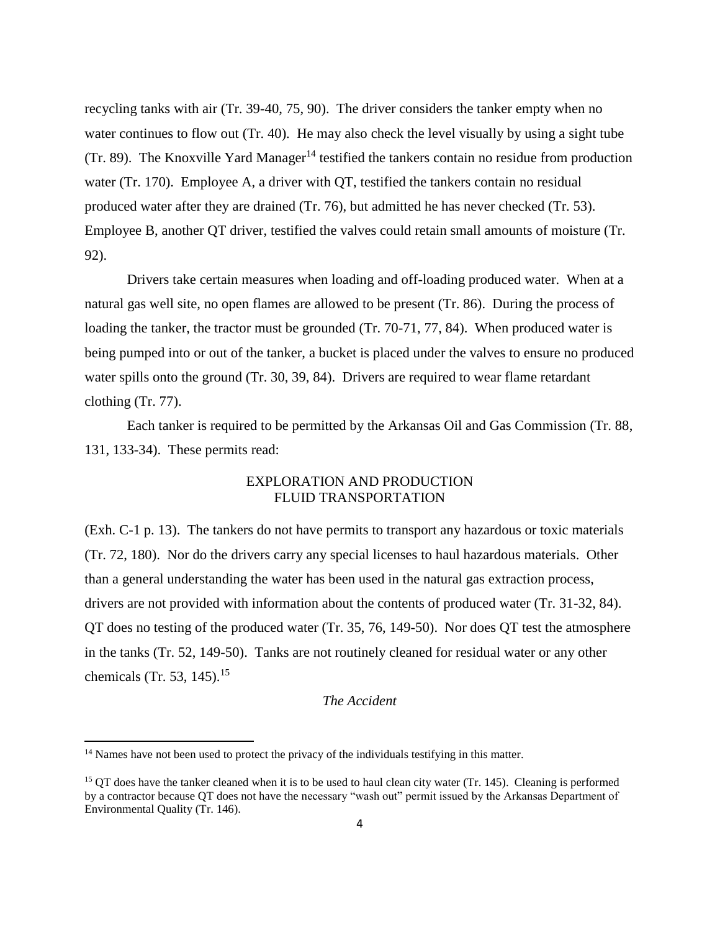recycling tanks with air (Tr. 39-40, 75, 90). The driver considers the tanker empty when no water continues to flow out (Tr. 40). He may also check the level visually by using a sight tube (Tr. 89). The Knoxville Yard Manager<sup>14</sup> testified the tankers contain no residue from production water (Tr. 170). Employee A, a driver with QT, testified the tankers contain no residual produced water after they are drained (Tr. 76), but admitted he has never checked (Tr. 53). Employee B, another QT driver, testified the valves could retain small amounts of moisture (Tr. 92).

Drivers take certain measures when loading and off-loading produced water. When at a natural gas well site, no open flames are allowed to be present (Tr. 86). During the process of loading the tanker, the tractor must be grounded (Tr. 70-71, 77, 84). When produced water is being pumped into or out of the tanker, a bucket is placed under the valves to ensure no produced water spills onto the ground (Tr. 30, 39, 84). Drivers are required to wear flame retardant clothing (Tr. 77).

Each tanker is required to be permitted by the Arkansas Oil and Gas Commission (Tr. 88, 131, 133-34). These permits read:

# EXPLORATION AND PRODUCTION FLUID TRANSPORTATION

(Exh. C-1 p. 13). The tankers do not have permits to transport any hazardous or toxic materials (Tr. 72, 180). Nor do the drivers carry any special licenses to haul hazardous materials. Other than a general understanding the water has been used in the natural gas extraction process, drivers are not provided with information about the contents of produced water (Tr. 31-32, 84). QT does no testing of the produced water (Tr. 35, 76, 149-50). Nor does QT test the atmosphere in the tanks (Tr. 52, 149-50). Tanks are not routinely cleaned for residual water or any other chemicals (Tr. 53, 145).<sup>15</sup>

# *The Accident*

l

<sup>&</sup>lt;sup>14</sup> Names have not been used to protect the privacy of the individuals testifying in this matter.

<sup>&</sup>lt;sup>15</sup> QT does have the tanker cleaned when it is to be used to haul clean city water (Tr. 145). Cleaning is performed by a contractor because QT does not have the necessary "wash out" permit issued by the Arkansas Department of Environmental Quality (Tr. 146).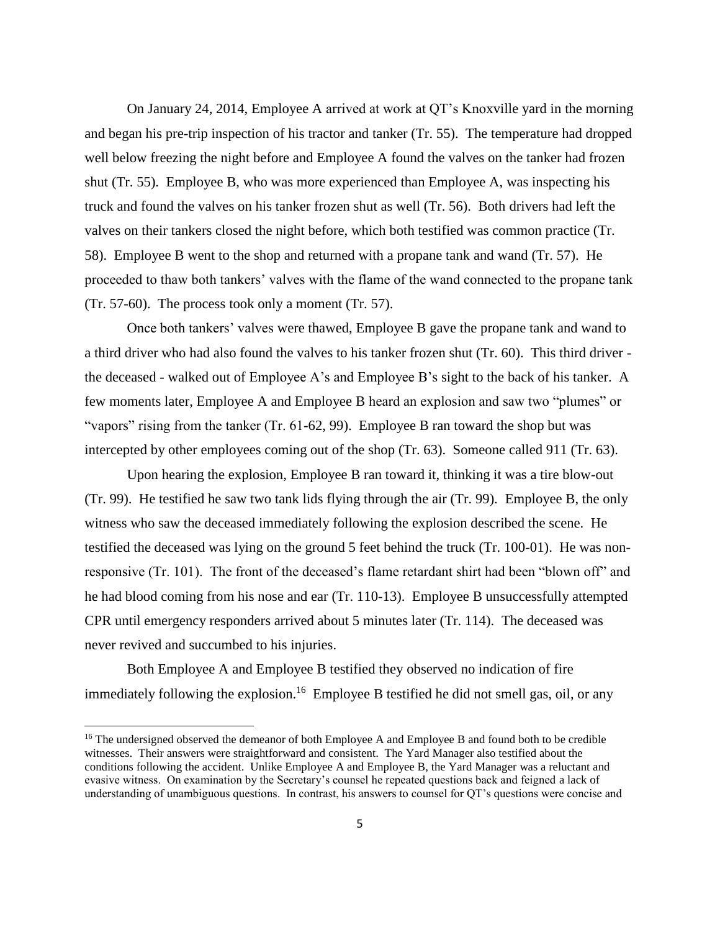On January 24, 2014, Employee A arrived at work at QT's Knoxville yard in the morning and began his pre-trip inspection of his tractor and tanker (Tr. 55). The temperature had dropped well below freezing the night before and Employee A found the valves on the tanker had frozen shut (Tr. 55). Employee B, who was more experienced than Employee A, was inspecting his truck and found the valves on his tanker frozen shut as well (Tr. 56). Both drivers had left the valves on their tankers closed the night before, which both testified was common practice (Tr. 58). Employee B went to the shop and returned with a propane tank and wand (Tr. 57). He proceeded to thaw both tankers' valves with the flame of the wand connected to the propane tank (Tr. 57-60). The process took only a moment (Tr. 57).

Once both tankers' valves were thawed, Employee B gave the propane tank and wand to a third driver who had also found the valves to his tanker frozen shut (Tr. 60). This third driver the deceased - walked out of Employee A's and Employee B's sight to the back of his tanker. A few moments later, Employee A and Employee B heard an explosion and saw two "plumes" or "vapors" rising from the tanker (Tr. 61-62, 99). Employee B ran toward the shop but was intercepted by other employees coming out of the shop (Tr. 63). Someone called 911 (Tr. 63).

Upon hearing the explosion, Employee B ran toward it, thinking it was a tire blow-out (Tr. 99). He testified he saw two tank lids flying through the air (Tr. 99). Employee B, the only witness who saw the deceased immediately following the explosion described the scene. He testified the deceased was lying on the ground 5 feet behind the truck (Tr. 100-01). He was nonresponsive (Tr. 101). The front of the deceased's flame retardant shirt had been "blown off" and he had blood coming from his nose and ear (Tr. 110-13). Employee B unsuccessfully attempted CPR until emergency responders arrived about 5 minutes later (Tr. 114). The deceased was never revived and succumbed to his injuries.

Both Employee A and Employee B testified they observed no indication of fire immediately following the explosion.<sup>16</sup> Employee B testified he did not smell gas, oil, or any

<sup>&</sup>lt;sup>16</sup> The undersigned observed the demeanor of both Employee A and Employee B and found both to be credible witnesses. Their answers were straightforward and consistent. The Yard Manager also testified about the conditions following the accident. Unlike Employee A and Employee B, the Yard Manager was a reluctant and evasive witness. On examination by the Secretary's counsel he repeated questions back and feigned a lack of understanding of unambiguous questions. In contrast, his answers to counsel for QT's questions were concise and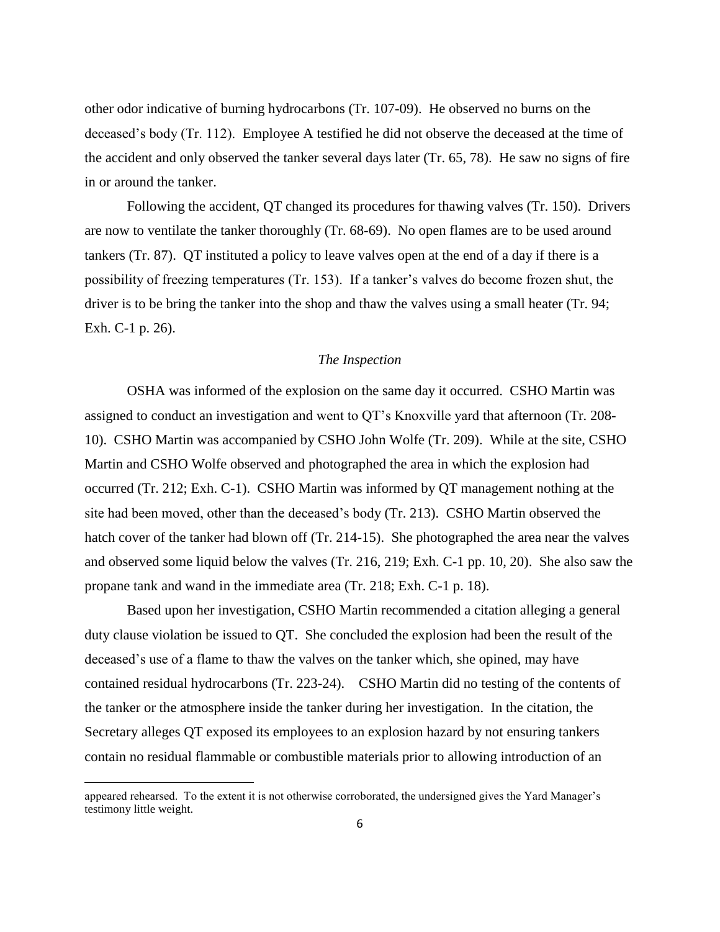other odor indicative of burning hydrocarbons (Tr. 107-09). He observed no burns on the deceased's body (Tr. 112). Employee A testified he did not observe the deceased at the time of the accident and only observed the tanker several days later (Tr. 65, 78). He saw no signs of fire in or around the tanker.

Following the accident, QT changed its procedures for thawing valves (Tr. 150). Drivers are now to ventilate the tanker thoroughly (Tr. 68-69). No open flames are to be used around tankers (Tr. 87). QT instituted a policy to leave valves open at the end of a day if there is a possibility of freezing temperatures (Tr. 153). If a tanker's valves do become frozen shut, the driver is to be bring the tanker into the shop and thaw the valves using a small heater (Tr. 94; Exh. C-1 p. 26).

#### *The Inspection*

OSHA was informed of the explosion on the same day it occurred. CSHO Martin was assigned to conduct an investigation and went to QT's Knoxville yard that afternoon (Tr. 208- 10). CSHO Martin was accompanied by CSHO John Wolfe (Tr. 209). While at the site, CSHO Martin and CSHO Wolfe observed and photographed the area in which the explosion had occurred (Tr. 212; Exh. C-1). CSHO Martin was informed by QT management nothing at the site had been moved, other than the deceased's body (Tr. 213). CSHO Martin observed the hatch cover of the tanker had blown off (Tr. 214-15). She photographed the area near the valves and observed some liquid below the valves (Tr. 216, 219; Exh. C-1 pp. 10, 20). She also saw the propane tank and wand in the immediate area (Tr. 218; Exh. C-1 p. 18).

Based upon her investigation, CSHO Martin recommended a citation alleging a general duty clause violation be issued to QT. She concluded the explosion had been the result of the deceased's use of a flame to thaw the valves on the tanker which, she opined, may have contained residual hydrocarbons (Tr. 223-24). CSHO Martin did no testing of the contents of the tanker or the atmosphere inside the tanker during her investigation. In the citation, the Secretary alleges QT exposed its employees to an explosion hazard by not ensuring tankers contain no residual flammable or combustible materials prior to allowing introduction of an

appeared rehearsed. To the extent it is not otherwise corroborated, the undersigned gives the Yard Manager's testimony little weight.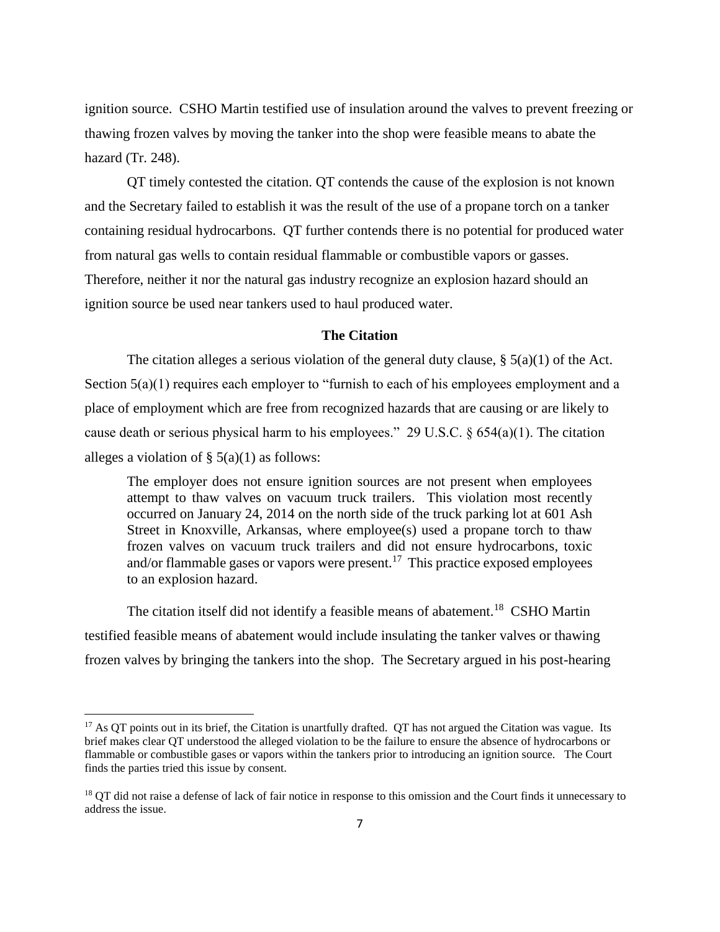ignition source. CSHO Martin testified use of insulation around the valves to prevent freezing or thawing frozen valves by moving the tanker into the shop were feasible means to abate the hazard (Tr. 248).

QT timely contested the citation. QT contends the cause of the explosion is not known and the Secretary failed to establish it was the result of the use of a propane torch on a tanker containing residual hydrocarbons. QT further contends there is no potential for produced water from natural gas wells to contain residual flammable or combustible vapors or gasses. Therefore, neither it nor the natural gas industry recognize an explosion hazard should an ignition source be used near tankers used to haul produced water.

### **The Citation**

The citation alleges a serious violation of the general duty clause,  $\S(5a)(1)$  of the Act. Section  $5(a)(1)$  requires each employer to "furnish to each of his employees employment and a place of employment which are free from recognized hazards that are causing or are likely to cause death or serious physical harm to his employees." 29 U.S.C. § 654(a)(1). The citation alleges a violation of  $\S$  5(a)(1) as follows:

The employer does not ensure ignition sources are not present when employees attempt to thaw valves on vacuum truck trailers. This violation most recently occurred on January 24, 2014 on the north side of the truck parking lot at 601 Ash Street in Knoxville, Arkansas, where employee(s) used a propane torch to thaw frozen valves on vacuum truck trailers and did not ensure hydrocarbons, toxic and/or flammable gases or vapors were present.<sup>17</sup> This practice exposed employees to an explosion hazard.

The citation itself did not identify a feasible means of abatement.<sup>18</sup> CSHO Martin testified feasible means of abatement would include insulating the tanker valves or thawing frozen valves by bringing the tankers into the shop. The Secretary argued in his post-hearing

 $17$  As QT points out in its brief, the Citation is unartfully drafted. QT has not argued the Citation was vague. Its brief makes clear QT understood the alleged violation to be the failure to ensure the absence of hydrocarbons or flammable or combustible gases or vapors within the tankers prior to introducing an ignition source. The Court finds the parties tried this issue by consent.

<sup>&</sup>lt;sup>18</sup> QT did not raise a defense of lack of fair notice in response to this omission and the Court finds it unnecessary to address the issue.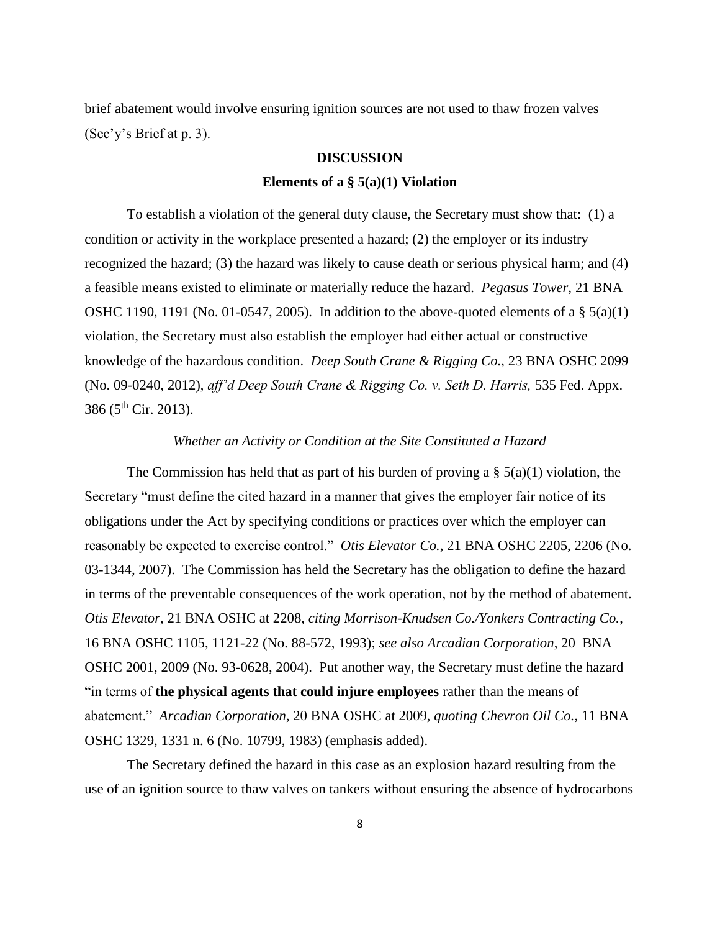brief abatement would involve ensuring ignition sources are not used to thaw frozen valves (Sec'y's Brief at p. 3).

### **DISCUSSION**

### **Elements of a § 5(a)(1) Violation**

To establish a violation of the general duty clause, the Secretary must show that: (1) a condition or activity in the workplace presented a hazard; (2) the employer or its industry recognized the hazard; (3) the hazard was likely to cause death or serious physical harm; and (4) a feasible means existed to eliminate or materially reduce the hazard. *Pegasus Tower,* 21 BNA OSHC 1190, 1191 (No. 01-0547, 2005). In addition to the above-quoted elements of a  $\S$  5(a)(1) violation, the Secretary must also establish the employer had either actual or constructive knowledge of the hazardous condition. *Deep South Crane & Rigging Co.,* 23 BNA OSHC 2099 (No. 09-0240, 2012), *aff'd Deep South Crane & Rigging Co. v. Seth D. Harris,* 535 Fed. Appx. 386 ( $5^{\text{th}}$  Cir. 2013).

## *Whether an Activity or Condition at the Site Constituted a Hazard*

The Commission has held that as part of his burden of proving a  $\S$  5(a)(1) violation, the Secretary "must define the cited hazard in a manner that gives the employer fair notice of its obligations under the Act by specifying conditions or practices over which the employer can reasonably be expected to exercise control." *Otis Elevator Co.*, 21 BNA OSHC 2205, 2206 (No. 03-1344, 2007). The Commission has held the Secretary has the obligation to define the hazard in terms of the preventable consequences of the work operation, not by the method of abatement. *Otis Elevator*, 21 BNA OSHC at 2208, *citing Morrison-Knudsen Co./Yonkers Contracting Co.*, 16 BNA OSHC 1105, 1121-22 (No. 88-572, 1993); *see also Arcadian Corporation*, 20 BNA OSHC 2001, 2009 (No. 93-0628, 2004). Put another way, the Secretary must define the hazard "in terms of **the physical agents that could injure employees** rather than the means of abatement." *Arcadian Corporation*, 20 BNA OSHC at 2009, *quoting Chevron Oil Co.*, 11 BNA OSHC 1329, 1331 n. 6 (No. 10799, 1983) (emphasis added).

The Secretary defined the hazard in this case as an explosion hazard resulting from the use of an ignition source to thaw valves on tankers without ensuring the absence of hydrocarbons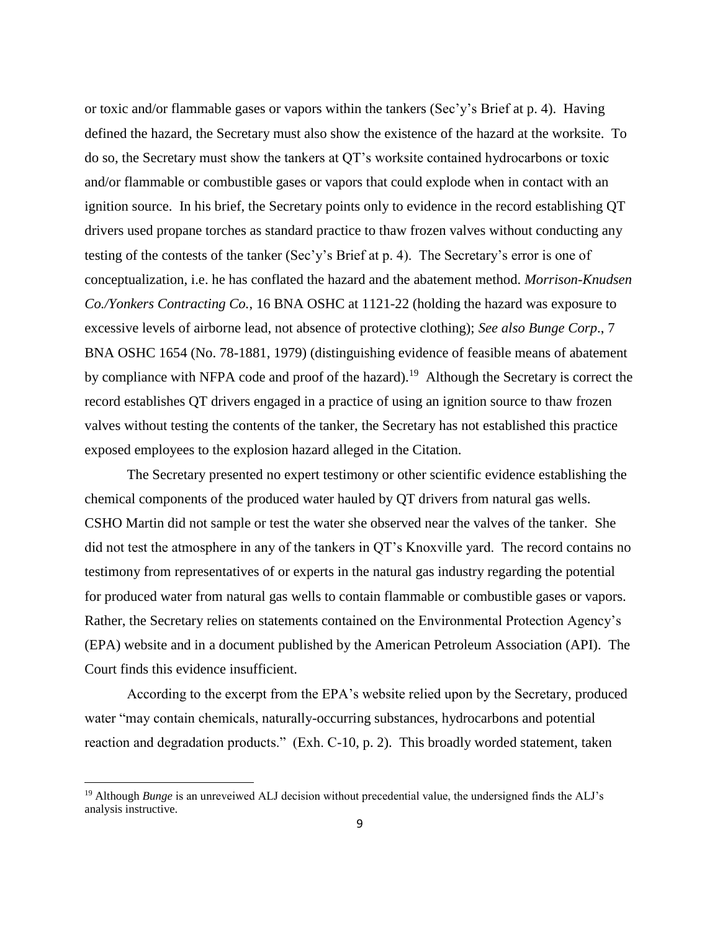or toxic and/or flammable gases or vapors within the tankers (Sec'y's Brief at p. 4). Having defined the hazard, the Secretary must also show the existence of the hazard at the worksite. To do so, the Secretary must show the tankers at QT's worksite contained hydrocarbons or toxic and/or flammable or combustible gases or vapors that could explode when in contact with an ignition source. In his brief, the Secretary points only to evidence in the record establishing QT drivers used propane torches as standard practice to thaw frozen valves without conducting any testing of the contests of the tanker (Sec'y's Brief at p. 4). The Secretary's error is one of conceptualization, i.e. he has conflated the hazard and the abatement method. *Morrison-Knudsen Co./Yonkers Contracting Co.*, 16 BNA OSHC at 1121-22 (holding the hazard was exposure to excessive levels of airborne lead, not absence of protective clothing); *See also Bunge Corp*., 7 BNA OSHC 1654 (No. 78-1881, 1979) (distinguishing evidence of feasible means of abatement by compliance with NFPA code and proof of the hazard).<sup>19</sup> Although the Secretary is correct the record establishes QT drivers engaged in a practice of using an ignition source to thaw frozen valves without testing the contents of the tanker, the Secretary has not established this practice exposed employees to the explosion hazard alleged in the Citation.

The Secretary presented no expert testimony or other scientific evidence establishing the chemical components of the produced water hauled by QT drivers from natural gas wells. CSHO Martin did not sample or test the water she observed near the valves of the tanker. She did not test the atmosphere in any of the tankers in QT's Knoxville yard. The record contains no testimony from representatives of or experts in the natural gas industry regarding the potential for produced water from natural gas wells to contain flammable or combustible gases or vapors. Rather, the Secretary relies on statements contained on the Environmental Protection Agency's (EPA) website and in a document published by the American Petroleum Association (API). The Court finds this evidence insufficient.

According to the excerpt from the EPA's website relied upon by the Secretary, produced water "may contain chemicals, naturally-occurring substances, hydrocarbons and potential reaction and degradation products." (Exh. C-10, p. 2). This broadly worded statement, taken

<sup>&</sup>lt;sup>19</sup> Although *Bunge* is an unreveiwed ALJ decision without precedential value, the undersigned finds the ALJ's analysis instructive.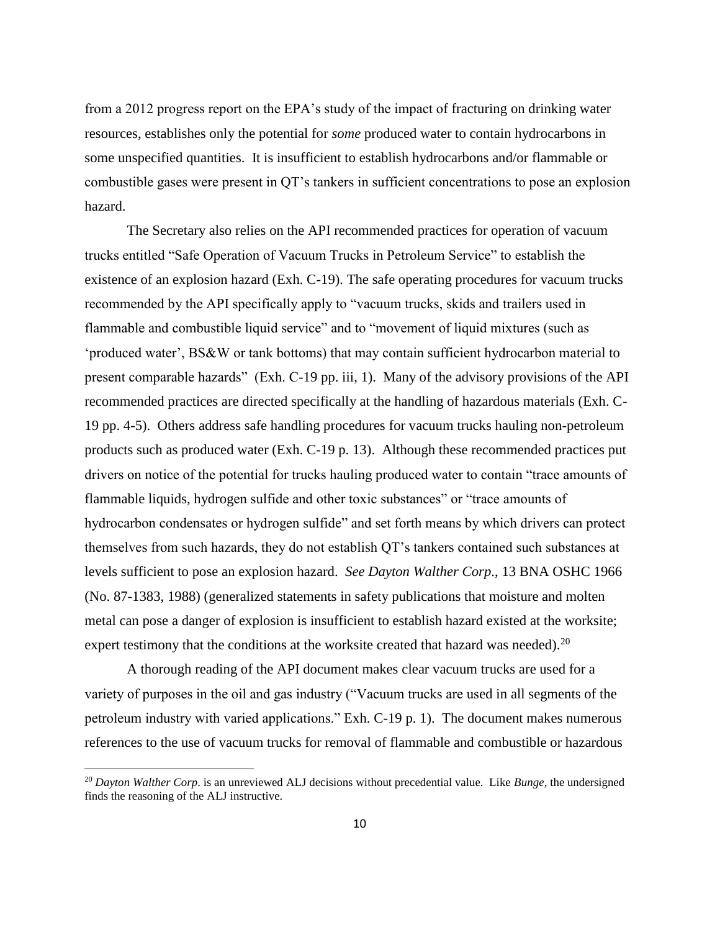from a 2012 progress report on the EPA's study of the impact of fracturing on drinking water resources, establishes only the potential for *some* produced water to contain hydrocarbons in some unspecified quantities. It is insufficient to establish hydrocarbons and/or flammable or combustible gases were present in QT's tankers in sufficient concentrations to pose an explosion hazard.

The Secretary also relies on the API recommended practices for operation of vacuum trucks entitled "Safe Operation of Vacuum Trucks in Petroleum Service" to establish the existence of an explosion hazard (Exh. C-19). The safe operating procedures for vacuum trucks recommended by the API specifically apply to "vacuum trucks, skids and trailers used in flammable and combustible liquid service" and to "movement of liquid mixtures (such as 'produced water', BS&W or tank bottoms) that may contain sufficient hydrocarbon material to present comparable hazards" (Exh. C-19 pp. iii, 1). Many of the advisory provisions of the API recommended practices are directed specifically at the handling of hazardous materials (Exh. C-19 pp. 4-5). Others address safe handling procedures for vacuum trucks hauling non-petroleum products such as produced water (Exh. C-19 p. 13). Although these recommended practices put drivers on notice of the potential for trucks hauling produced water to contain "trace amounts of flammable liquids, hydrogen sulfide and other toxic substances" or "trace amounts of hydrocarbon condensates or hydrogen sulfide" and set forth means by which drivers can protect themselves from such hazards, they do not establish QT's tankers contained such substances at levels sufficient to pose an explosion hazard. *See Dayton Walther Corp*., 13 BNA OSHC 1966 (No. 87-1383, 1988) (generalized statements in safety publications that moisture and molten metal can pose a danger of explosion is insufficient to establish hazard existed at the worksite; expert testimony that the conditions at the worksite created that hazard was needed). $^{20}$ 

A thorough reading of the API document makes clear vacuum trucks are used for a variety of purposes in the oil and gas industry ("Vacuum trucks are used in all segments of the petroleum industry with varied applications." Exh. C-19 p. 1). The document makes numerous references to the use of vacuum trucks for removal of flammable and combustible or hazardous

 $\overline{a}$ 

<sup>20</sup> *Dayton Walther Corp*. is an unreviewed ALJ decisions without precedential value. Like *Bunge*, the undersigned finds the reasoning of the ALJ instructive.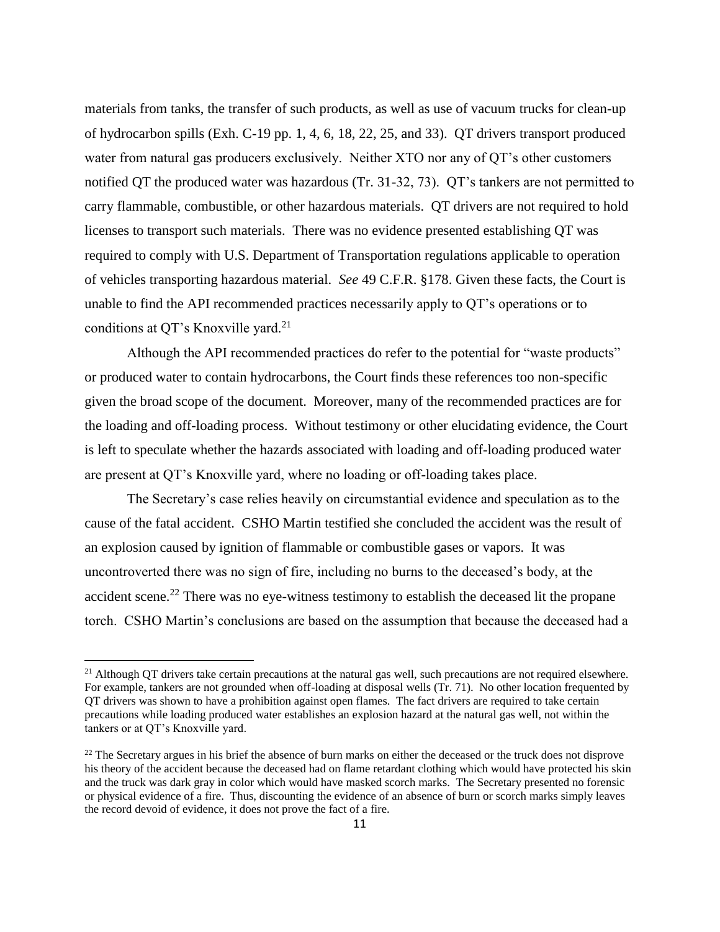materials from tanks, the transfer of such products, as well as use of vacuum trucks for clean-up of hydrocarbon spills (Exh. C-19 pp. 1, 4, 6, 18, 22, 25, and 33). QT drivers transport produced water from natural gas producers exclusively. Neither XTO nor any of QT's other customers notified QT the produced water was hazardous (Tr. 31-32, 73). QT's tankers are not permitted to carry flammable, combustible, or other hazardous materials. QT drivers are not required to hold licenses to transport such materials. There was no evidence presented establishing QT was required to comply with U.S. Department of Transportation regulations applicable to operation of vehicles transporting hazardous material. *See* 49 C.F.R. §178. Given these facts, the Court is unable to find the API recommended practices necessarily apply to QT's operations or to conditions at QT's Knoxville yard.<sup>21</sup>

Although the API recommended practices do refer to the potential for "waste products" or produced water to contain hydrocarbons, the Court finds these references too non-specific given the broad scope of the document. Moreover, many of the recommended practices are for the loading and off-loading process. Without testimony or other elucidating evidence, the Court is left to speculate whether the hazards associated with loading and off-loading produced water are present at QT's Knoxville yard, where no loading or off-loading takes place.

The Secretary's case relies heavily on circumstantial evidence and speculation as to the cause of the fatal accident. CSHO Martin testified she concluded the accident was the result of an explosion caused by ignition of flammable or combustible gases or vapors. It was uncontroverted there was no sign of fire, including no burns to the deceased's body, at the accident scene.<sup>22</sup> There was no eye-witness testimony to establish the deceased lit the propane torch. CSHO Martin's conclusions are based on the assumption that because the deceased had a

 $21$  Although QT drivers take certain precautions at the natural gas well, such precautions are not required elsewhere. For example, tankers are not grounded when off-loading at disposal wells (Tr. 71). No other location frequented by QT drivers was shown to have a prohibition against open flames. The fact drivers are required to take certain precautions while loading produced water establishes an explosion hazard at the natural gas well, not within the tankers or at QT's Knoxville yard.

 $22$  The Secretary argues in his brief the absence of burn marks on either the deceased or the truck does not disprove his theory of the accident because the deceased had on flame retardant clothing which would have protected his skin and the truck was dark gray in color which would have masked scorch marks. The Secretary presented no forensic or physical evidence of a fire. Thus, discounting the evidence of an absence of burn or scorch marks simply leaves the record devoid of evidence, it does not prove the fact of a fire.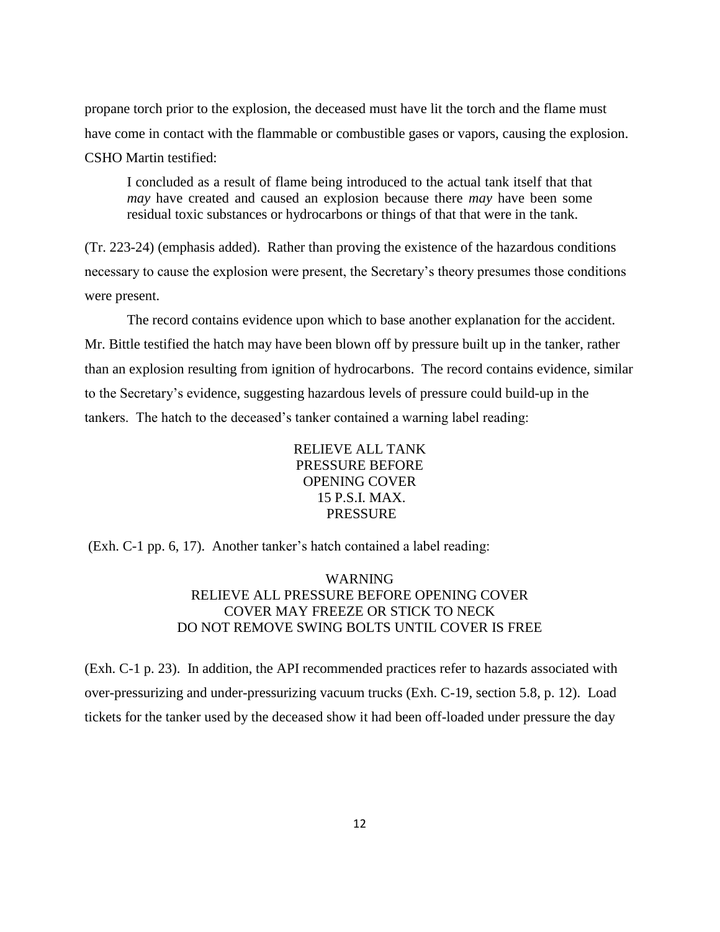propane torch prior to the explosion, the deceased must have lit the torch and the flame must have come in contact with the flammable or combustible gases or vapors, causing the explosion. CSHO Martin testified:

I concluded as a result of flame being introduced to the actual tank itself that that *may* have created and caused an explosion because there *may* have been some residual toxic substances or hydrocarbons or things of that that were in the tank.

(Tr. 223-24) (emphasis added). Rather than proving the existence of the hazardous conditions necessary to cause the explosion were present, the Secretary's theory presumes those conditions were present.

The record contains evidence upon which to base another explanation for the accident. Mr. Bittle testified the hatch may have been blown off by pressure built up in the tanker, rather than an explosion resulting from ignition of hydrocarbons. The record contains evidence, similar to the Secretary's evidence, suggesting hazardous levels of pressure could build-up in the tankers. The hatch to the deceased's tanker contained a warning label reading:

> RELIEVE ALL TANK PRESSURE BEFORE OPENING COVER 15 P.S.I. MAX. PRESSURE

(Exh. C-1 pp. 6, 17). Another tanker's hatch contained a label reading:

WARNING RELIEVE ALL PRESSURE BEFORE OPENING COVER COVER MAY FREEZE OR STICK TO NECK DO NOT REMOVE SWING BOLTS UNTIL COVER IS FREE

(Exh. C-1 p. 23). In addition, the API recommended practices refer to hazards associated with over-pressurizing and under-pressurizing vacuum trucks (Exh. C-19, section 5.8, p. 12). Load tickets for the tanker used by the deceased show it had been off-loaded under pressure the day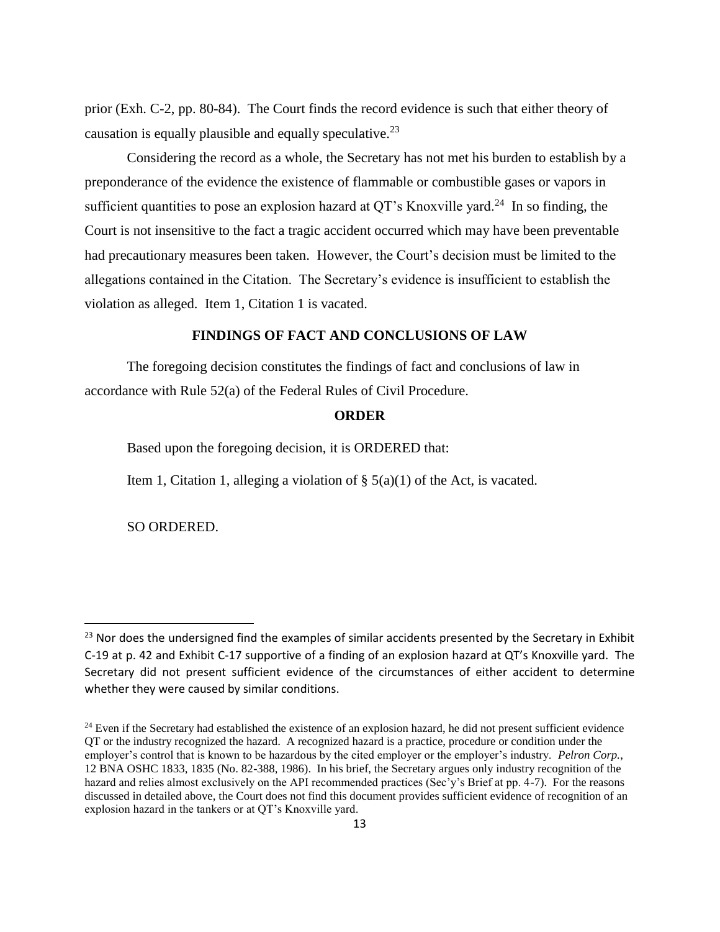prior (Exh. C-2, pp. 80-84). The Court finds the record evidence is such that either theory of causation is equally plausible and equally speculative.<sup>23</sup>

Considering the record as a whole, the Secretary has not met his burden to establish by a preponderance of the evidence the existence of flammable or combustible gases or vapors in sufficient quantities to pose an explosion hazard at QT's Knoxville yard.<sup>24</sup> In so finding, the Court is not insensitive to the fact a tragic accident occurred which may have been preventable had precautionary measures been taken. However, the Court's decision must be limited to the allegations contained in the Citation. The Secretary's evidence is insufficient to establish the violation as alleged. Item 1, Citation 1 is vacated.

# **FINDINGS OF FACT AND CONCLUSIONS OF LAW**

The foregoing decision constitutes the findings of fact and conclusions of law in accordance with Rule 52(a) of the Federal Rules of Civil Procedure.

### **ORDER**

Based upon the foregoing decision, it is ORDERED that:

Item 1, Citation 1, alleging a violation of  $\S$  5(a)(1) of the Act, is vacated.

SO ORDERED.

<sup>&</sup>lt;sup>23</sup> Nor does the undersigned find the examples of similar accidents presented by the Secretary in Exhibit C-19 at p. 42 and Exhibit C-17 supportive of a finding of an explosion hazard at QT's Knoxville yard. The Secretary did not present sufficient evidence of the circumstances of either accident to determine whether they were caused by similar conditions.

 $24$  Even if the Secretary had established the existence of an explosion hazard, he did not present sufficient evidence QT or the industry recognized the hazard. A recognized hazard is a practice, procedure or condition under the employer's control that is known to be hazardous by the cited employer or the employer's industry. *Pelron Corp.*, 12 BNA OSHC 1833, 1835 (No. 82-388, 1986). In his brief, the Secretary argues only industry recognition of the hazard and relies almost exclusively on the API recommended practices (Sec'y's Brief at pp. 4-7). For the reasons discussed in detailed above, the Court does not find this document provides sufficient evidence of recognition of an explosion hazard in the tankers or at QT's Knoxville yard.